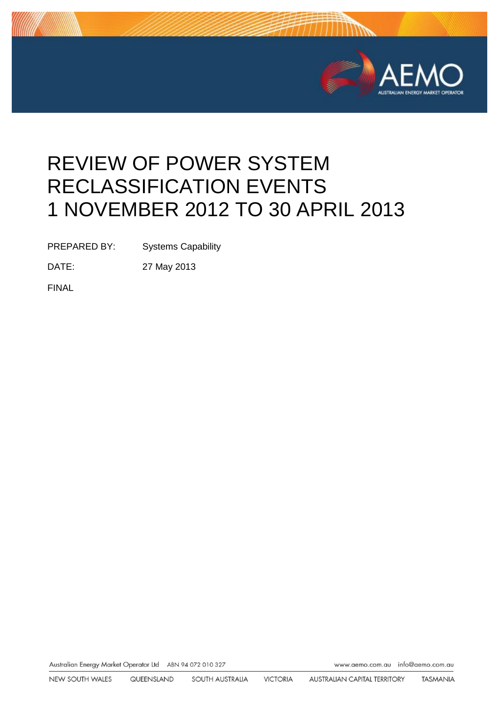

# REVIEW OF POWER SYSTEM RECLASSIFICATION EVENTS 1 NOVEMBER 2012 TO 30 APRIL 2013

PREPARED BY: Systems Capability

DATE: 27 May 2013

FINAL

Australian Energy Market Operator Ltd ABN 94 072 010 327

www.aemo.com.au info@aemo.com.au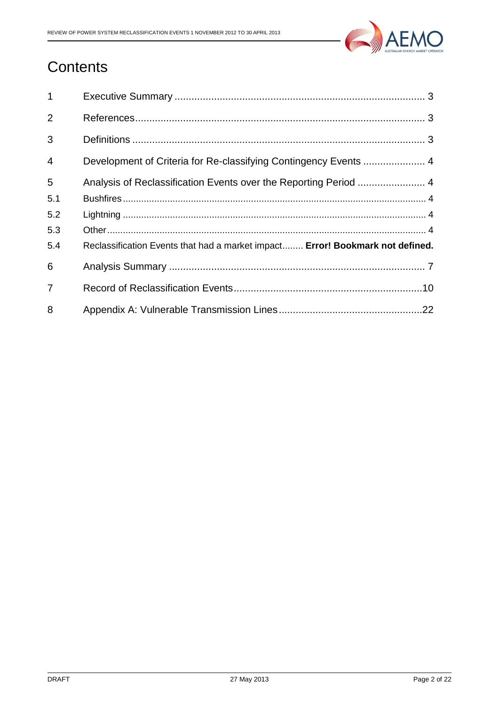

# **Contents**

| $\mathbf{1}$   |                                                                               |
|----------------|-------------------------------------------------------------------------------|
| 2              |                                                                               |
| 3              |                                                                               |
| $\overline{4}$ |                                                                               |
| 5              | Analysis of Reclassification Events over the Reporting Period  4              |
| 5.1            |                                                                               |
| 5.2            |                                                                               |
| 5.3            |                                                                               |
| 5.4            | Reclassification Events that had a market impact Error! Bookmark not defined. |
| 6              |                                                                               |
| $\overline{7}$ |                                                                               |
| 8              |                                                                               |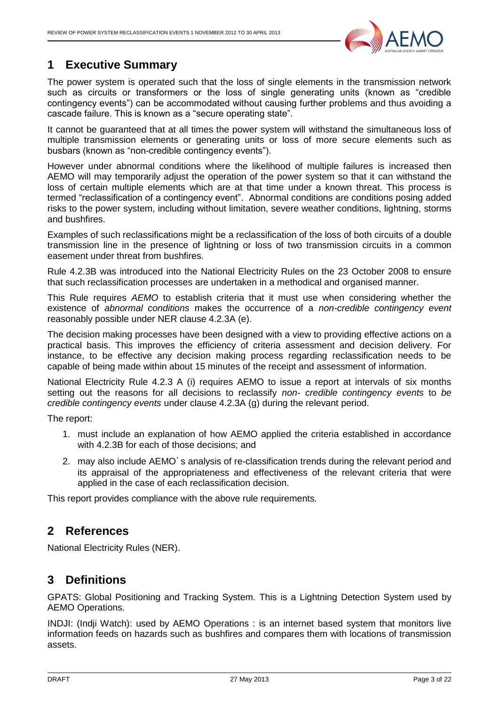

# <span id="page-2-0"></span>**1 Executive Summary**

The power system is operated such that the loss of single elements in the transmission network such as circuits or transformers or the loss of single generating units (known as "credible contingency events") can be accommodated without causing further problems and thus avoiding a cascade failure. This is known as a "secure operating state".

It cannot be guaranteed that at all times the power system will withstand the simultaneous loss of multiple transmission elements or generating units or loss of more secure elements such as busbars (known as "non-credible contingency events").

However under abnormal conditions where the likelihood of multiple failures is increased then AEMO will may temporarily adjust the operation of the power system so that it can withstand the loss of certain multiple elements which are at that time under a known threat. This process is termed "reclassification of a contingency event". Abnormal conditions are conditions posing added risks to the power system, including without limitation, severe weather conditions, lightning, storms and bushfires.

Examples of such reclassifications might be a reclassification of the loss of both circuits of a double transmission line in the presence of lightning or loss of two transmission circuits in a common easement under threat from bushfires.

Rule 4.2.3B was introduced into the National Electricity Rules on the 23 October 2008 to ensure that such reclassification processes are undertaken in a methodical and organised manner.

This Rule requires *AEMO* to establish criteria that it must use when considering whether the existence of *abnormal conditions* makes the occurrence of a *non-credible contingency event*  reasonably possible under NER clause 4.2.3A (e).

The decision making processes have been designed with a view to providing effective actions on a practical basis. This improves the efficiency of criteria assessment and decision delivery. For instance, to be effective any decision making process regarding reclassification needs to be capable of being made within about 15 minutes of the receipt and assessment of information.

National Electricity Rule 4.2.3 A (i) requires AEMO to issue a report at intervals of six months setting out the reasons for all decisions to reclassify *non- credible contingency events* to *be credible contingency events* under clause 4.2.3A (g) during the relevant period.

The report:

- 1. must include an explanation of how AEMO applied the criteria established in accordance with 4.2.3B for each of those decisions; and
- 2. may also include AEMO's analysis of re-classification trends during the relevant period and its appraisal of the appropriateness and effectiveness of the relevant criteria that were applied in the case of each reclassification decision.

<span id="page-2-1"></span>This report provides compliance with the above rule requirements.

# **2 References**

<span id="page-2-2"></span>National Electricity Rules (NER).

### **3 Definitions**

GPATS: Global Positioning and Tracking System. This is a Lightning Detection System used by AEMO Operations.

INDJI: (Indji Watch): used by AEMO Operations : is an internet based system that monitors live information feeds on hazards such as bushfires and compares them with locations of transmission assets.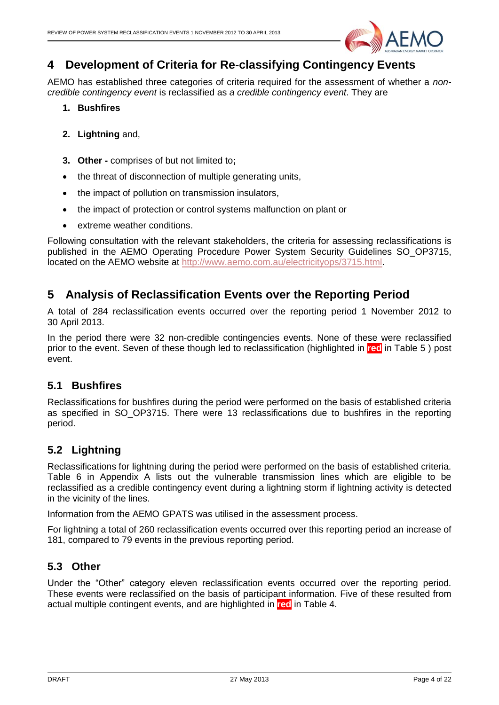

# <span id="page-3-0"></span>**4 Development of Criteria for Re-classifying Contingency Events**

AEMO has established three categories of criteria required for the assessment of whether a *noncredible contingency event* is reclassified as *a credible contingency event*. They are

- **1. Bushfires**
- **2. Lightning** and,
- **3. Other -** comprises of but not limited to**;**
- the threat of disconnection of multiple generating units,
- the impact of pollution on transmission insulators,
- the impact of protection or control systems malfunction on plant or
- extreme weather conditions.

Following consultation with the relevant stakeholders, the criteria for assessing reclassifications is published in the AEMO Operating Procedure Power System Security Guidelines SO\_OP3715, located on the AEMO website at [http://www.aemo.com.au/electricityops/3715.html.](http://www.aemo.com.au/electricityops/3715.html)

# <span id="page-3-1"></span>**5 Analysis of Reclassification Events over the Reporting Period**

A total of 284 reclassification events occurred over the reporting period 1 November 2012 to 30 April 2013.

In the period there were 32 non-credible contingencies events. None of these were reclassified prior to the event. Seven of these though led to reclassification (highlighted in **red** in [Table 5](#page-19-0) ) post event.

#### <span id="page-3-2"></span>**5.1 Bushfires**

Reclassifications for bushfires during the period were performed on the basis of established criteria as specified in SO OP3715. There were 13 reclassifications due to bushfires in the reporting period.

#### <span id="page-3-3"></span>**5.2 Lightning**

Reclassifications for lightning during the period were performed on the basis of established criteria. Table 6 in Appendix A lists out the vulnerable transmission lines which are eligible to be reclassified as a credible contingency event during a lightning storm if lightning activity is detected in the vicinity of the lines.

Information from the AEMO GPATS was utilised in the assessment process.

For lightning a total of 260 reclassification events occurred over this reporting period an increase of 181, compared to 79 events in the previous reporting period.

#### <span id="page-3-4"></span>**5.3 Other**

Under the "Other" category eleven reclassification events occurred over the reporting period. These events were reclassified on the basis of participant information. Five of these resulted from actual multiple contingent events, and are highlighted in **red** in [Table 4.](#page-9-1)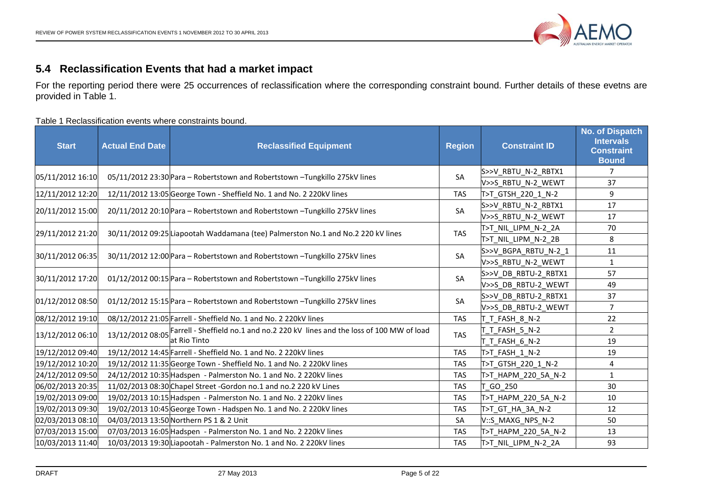

#### **5.4 Reclassification Events that had a market impact**

For the reporting period there were 25 occurrences of reclassification where the corresponding constraint bound. Further details of these evetns are provided in Table 1.

Table 1 Reclassification events where constraints bound.

| <b>Start</b>     | <b>Actual End Date</b> | <b>Reclassified Equipment</b>                                                    | <b>Region</b> | <b>Constraint ID</b> | <b>No. of Dispatch</b><br><b>Intervals</b><br><b>Constraint</b><br><b>Bound</b> |
|------------------|------------------------|----------------------------------------------------------------------------------|---------------|----------------------|---------------------------------------------------------------------------------|
| 05/11/2012 16:10 |                        | 05/11/2012 23:30 Para - Robertstown and Robertstown - Tungkillo 275kV lines      | SA            | S>>V_RBTU_N-2_RBTX1  | 7                                                                               |
|                  |                        |                                                                                  |               | V>>S RBTU N-2 WEWT   | 37                                                                              |
| 12/11/2012 12:20 |                        | 12/11/2012 13:05 George Town - Sheffield No. 1 and No. 2 220kV lines             | <b>TAS</b>    | T>T GTSH_220_1_N-2   | 9                                                                               |
| 20/11/2012 15:00 |                        | 20/11/2012 20:10 Para - Robertstown and Robertstown - Tungkillo 275kV lines      | SA            | S>>V_RBTU_N-2_RBTX1  | 17                                                                              |
|                  |                        |                                                                                  |               | V>>S RBTU_N-2_WEWT   | 17                                                                              |
| 29/11/2012 21:20 |                        | 30/11/2012 09:25 Liapootah Waddamana (tee) Palmerston No.1 and No.2 220 kV lines | <b>TAS</b>    | T>T_NIL_LIPM_N-2_2A  | 70                                                                              |
|                  |                        |                                                                                  |               | T>T NIL LIPM N-2 2B  | 8                                                                               |
| 30/11/2012 06:35 |                        | 30/11/2012 12:00 Para - Robertstown and Robertstown - Tungkillo 275kV lines      | SA            | S>>V_BGPA_RBTU_N-2_1 | 11                                                                              |
|                  |                        |                                                                                  |               | V>>S RBTU N-2 WEWT   | $\mathbf{1}$                                                                    |
| 30/11/2012 17:20 |                        | 01/12/2012 00:15 Para - Robertstown and Robertstown - Tungkillo 275kV lines      | SA            | S>>V_DB_RBTU-2_RBTX1 | 57                                                                              |
|                  |                        |                                                                                  |               | V>>S DB RBTU-2 WEWT  | 49                                                                              |
| 01/12/2012 08:50 |                        | 01/12/2012 15:15 Para - Robertstown and Robertstown - Tungkillo 275kV lines      | SA            | S>>V DB RBTU-2 RBTX1 | 37                                                                              |
|                  |                        |                                                                                  |               | V>>S DB RBTU-2 WEWT  | $\overline{7}$                                                                  |
| 08/12/2012 19:10 |                        | 08/12/2012 21:05 Farrell - Sheffield No. 1 and No. 2 220kV lines                 | <b>TAS</b>    | T T FASH 8 N-2       | 22                                                                              |
| 13/12/2012 06:10 | 13/12/2012 08:05       | Farrell - Sheffield no.1 and no.2 220 kV lines and the loss of 100 MW of load    | <b>TAS</b>    | T FASH 5 N-2         | $\overline{2}$                                                                  |
|                  |                        | at Rio Tinto                                                                     |               | T T FASH 6 N-2       | 19                                                                              |
| 19/12/2012 09:40 |                        | 19/12/2012 14:45 Farrell - Sheffield No. 1 and No. 2 220kV lines                 | <b>TAS</b>    | T>T_FASH_1_N-2       | 19                                                                              |
| 19/12/2012 10:20 |                        | 19/12/2012 11:35 George Town - Sheffield No. 1 and No. 2 220kV lines             | <b>TAS</b>    | T>T GTSH 220 1 N-2   | 4                                                                               |
| 24/12/2012 09:50 |                        | 24/12/2012 10:35 Hadspen - Palmerston No. 1 and No. 2 220kV lines                | <b>TAS</b>    | T>T HAPM 220 5A N-2  | $\mathbf{1}$                                                                    |
| 06/02/2013 20:35 |                        | 11/02/2013 08:30 Chapel Street - Gordon no.1 and no.2 220 kV Lines               | <b>TAS</b>    | GO 250               | 30                                                                              |
| 19/02/2013 09:00 |                        | 19/02/2013 10:15 Hadspen - Palmerston No. 1 and No. 2 220kV lines                | <b>TAS</b>    | T>T HAPM 220 5A N-2  | 10                                                                              |
| 19/02/2013 09:30 |                        | 19/02/2013 10:45 George Town - Hadspen No. 1 and No. 2 220kV lines               | <b>TAS</b>    | T>T_GT_HA_3A_N-2     | 12                                                                              |
| 02/03/2013 08:10 |                        | 04/03/2013 13:50 Northern PS 1 & 2 Unit                                          | SA            | V::S MAXG NPS N-2    | 50                                                                              |
| 07/03/2013 15:00 |                        | 07/03/2013 16:05 Hadspen - Palmerston No. 1 and No. 2 220kV lines                | <b>TAS</b>    | T>T_HAPM_220_5A_N-2  | 13                                                                              |
| 10/03/2013 11:40 |                        | 10/03/2013 19:30 Liapootah - Palmerston No. 1 and No. 2 220kV lines              | <b>TAS</b>    | T>T NIL LIPM N-2 2A  | 93                                                                              |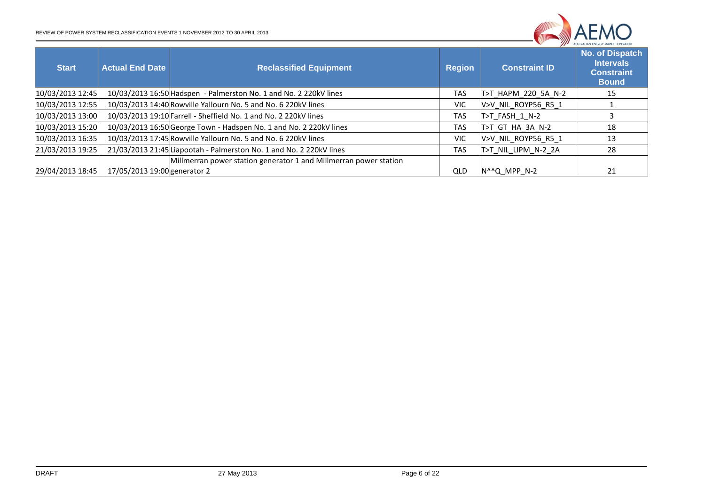

| <b>Start</b>     | <b>Actual End Date</b>       | <b>Reclassified Equipment</b>                                       | <b>Region</b> | <b>Constraint ID</b> | AUSTRALIAN ENERGY MARKET OPERATOR<br>No. of Dispatch<br><b>Intervals</b><br><b>Constraint</b><br><b>Bound</b> |
|------------------|------------------------------|---------------------------------------------------------------------|---------------|----------------------|---------------------------------------------------------------------------------------------------------------|
| 10/03/2013 12:45 |                              | 10/03/2013 16:50 Hadspen - Palmerston No. 1 and No. 2 220kV lines   | <b>TAS</b>    | T>T HAPM 220 5A N-2  | 15                                                                                                            |
| 10/03/2013 12:55 |                              | 10/03/2013 14:40 Rowville Yallourn No. 5 and No. 6 220kV lines      | VIC.          | V>V NIL ROYP56 R5 1  |                                                                                                               |
| 10/03/2013 13:00 |                              | 10/03/2013 19:10 Farrell - Sheffield No. 1 and No. 2 220kV lines    | <b>TAS</b>    | T>T FASH 1 N-2       |                                                                                                               |
| 10/03/2013 15:20 |                              | 10/03/2013 16:50 George Town - Hadspen No. 1 and No. 2 220kV lines  | <b>TAS</b>    | T>T GT HA 3A N-2     | 18                                                                                                            |
| 10/03/2013 16:35 |                              | 10/03/2013 17:45 Rowville Yallourn No. 5 and No. 6 220kV lines      | VIC.          | V>V NIL ROYP56 R5 1  | 13                                                                                                            |
| 21/03/2013 19:25 |                              | 21/03/2013 21:45 Liapootah - Palmerston No. 1 and No. 2 220kV lines | <b>TAS</b>    | T>T NIL LIPM N-2 2A  | 28                                                                                                            |
| 29/04/2013 18:45 | 17/05/2013 19:00 generator 2 | Millmerran power station generator 1 and Millmerran power station   | QLD           | N^^Q MPP N-2         | 21                                                                                                            |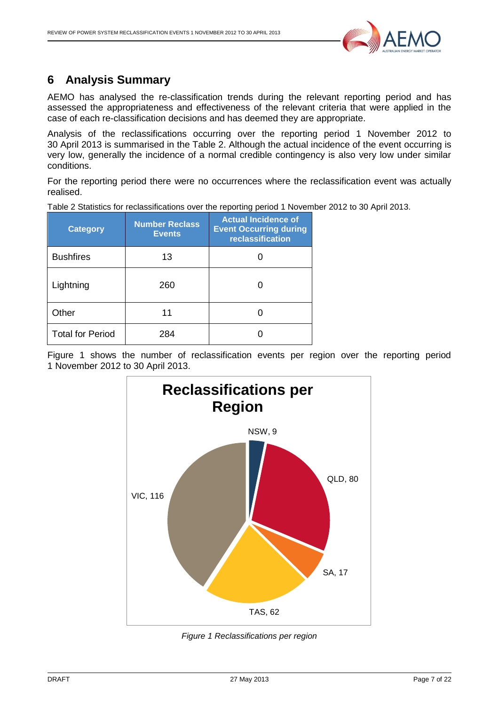

# <span id="page-6-0"></span>**6 Analysis Summary**

AEMO has analysed the re-classification trends during the relevant reporting period and has assessed the appropriateness and effectiveness of the relevant criteria that were applied in the case of each re-classification decisions and has deemed they are appropriate.

Analysis of the reclassifications occurring over the reporting period 1 November 2012 to 30 April 2013 is summarised in the [Table 2.](#page-6-1) Although the actual incidence of the event occurring is very low, generally the incidence of a normal credible contingency is also very low under similar conditions.

For the reporting period there were no occurrences where the reclassification event was actually realised.

<span id="page-6-1"></span>Table 2 Statistics for reclassifications over the reporting period 1 November 2012 to 30 April 2013.

| <b>Category</b>         | <b>Number Reclass</b><br><b>Events</b> | <b>Actual Incidence of</b><br><b>Event Occurring during</b><br>reclassification |
|-------------------------|----------------------------------------|---------------------------------------------------------------------------------|
| <b>Bushfires</b>        | 13                                     |                                                                                 |
| Lightning               | 260                                    |                                                                                 |
| Other                   | 11                                     |                                                                                 |
| <b>Total for Period</b> | 284                                    |                                                                                 |

Figure 1 shows the number of reclassification events per region over the reporting period 1 November 2012 to 30 April 2013.



*Figure 1 Reclassifications per region*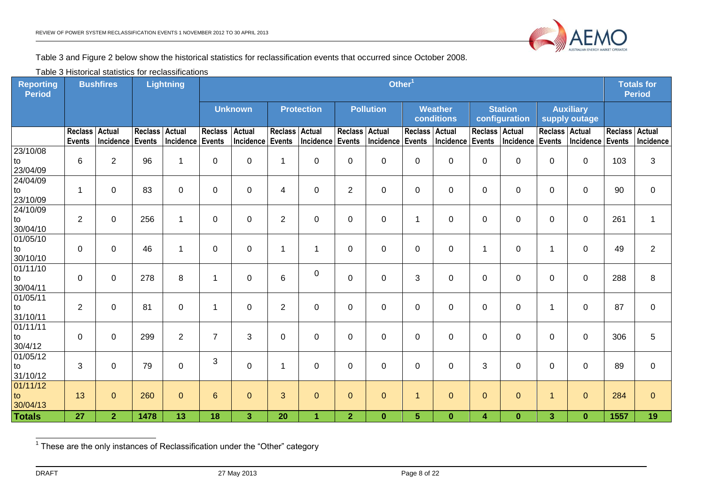

Table 3 and Figure 2 below show the historical statistics for reclassification events that occurred since October 2008.

Table 3 Historical statistics for reclassifications

| <b>Reporting</b><br><b>Period</b> | <b>Bushfires</b>                |                            |                                 | <b>Lightning</b>           |                                 | Other <sup>1</sup>         |                          |                            |                                 | <b>Totals for</b><br><b>Period</b> |                          |                              |                |                                 |                                   |                                   |                                 |                     |
|-----------------------------------|---------------------------------|----------------------------|---------------------------------|----------------------------|---------------------------------|----------------------------|--------------------------|----------------------------|---------------------------------|------------------------------------|--------------------------|------------------------------|----------------|---------------------------------|-----------------------------------|-----------------------------------|---------------------------------|---------------------|
|                                   |                                 |                            |                                 |                            |                                 | <b>Unknown</b>             |                          | <b>Protection</b>          |                                 | <b>Pollution</b>                   |                          | <b>Weather</b><br>conditions |                | <b>Station</b><br>configuration |                                   | <b>Auxiliary</b><br>supply outage |                                 |                     |
|                                   | <b>Reclass</b><br><b>Events</b> | <b>Actual</b><br>Incidence | <b>Reclass</b><br><b>Events</b> | <b>Actual</b><br>Incidence | <b>Reclass</b><br><b>Events</b> | <b>Actual</b><br>Incidence | <b>Reclass</b><br>Events | <b>Actual</b><br>Incidence | <b>Reclass</b><br><b>Events</b> | <b>Actual</b><br>Incidence         | Reclass Actual<br>Events | Incidence Events             | <b>Reclass</b> | <b>Actual</b><br>Incidence      | Reclass   Actual<br><b>Events</b> | Incidence                         | <b>Reclass</b><br><b>Events</b> | Actual<br>Incidence |
| 23/10/08<br>to<br>23/04/09        | $6\phantom{1}6$                 | $\overline{2}$             | 96                              | 1                          | 0                               | 0                          | $\mathbf 1$              | $\mathbf 0$                | 0                               | $\mathbf 0$                        | 0                        | 0                            | 0              | 0                               | $\mathbf 0$                       | 0                                 | 103                             | 3                   |
| 24/04/09<br>to<br>23/10/09        | -1                              | 0                          | 83                              | 0                          | 0                               | 0                          | $\overline{4}$           | $\mathbf 0$                | $\overline{2}$                  | 0                                  | 0                        | 0                            | 0              | 0                               | 0                                 | $\Omega$                          | 90                              | $\mathbf 0$         |
| 24/10/09<br>to<br>30/04/10        | 2                               | $\mathbf 0$                | 256                             | 1                          | $\Omega$                        | $\mathbf{0}$               | $\overline{2}$           | $\mathbf 0$                | $\pmb{0}$                       | $\pmb{0}$                          | 1                        | $\mathbf 0$                  | $\mathbf 0$    | $\mathbf 0$                     | $\Omega$                          | $\Omega$                          | 261                             | $\mathbf{1}$        |
| 01/05/10<br>to<br>30/10/10        | $\Omega$                        | $\mathbf{0}$               | 46                              | 1                          | $\Omega$                        | $\Omega$                   | $\overline{1}$           | -1                         | 0                               | 0                                  | 0                        | $\Omega$                     | 1              | $\Omega$                        | 1                                 | $\Omega$                          | 49                              | 2                   |
| 01/11/10<br>to<br>30/04/11        | $\Omega$                        | 0                          | 278                             | 8                          | $\mathbf 1$                     | $\mathbf 0$                | $\,6\,$                  | $\mathbf 0$                | 0                               | $\mathbf 0$                        | 3                        | 0                            | 0              | $\mathbf 0$                     | 0                                 | 0                                 | 288                             | 8                   |
| 01/05/11<br>to<br>31/10/11        | 2                               | $\mathbf 0$                | 81                              | $\mathbf 0$                | $\mathbf{1}$                    | 0                          | $\overline{2}$           | $\mathbf 0$                | $\pmb{0}$                       | $\pmb{0}$                          | 0                        | 0                            | 0              | $\pmb{0}$                       | $\mathbf 1$                       | $\Omega$                          | 87                              | $\mathbf 0$         |
| 01/11/11<br>to<br>30/4/12         | $\mathbf 0$                     | $\mathbf 0$                | 299                             | $\overline{2}$             | $\overline{7}$                  | 3                          | $\mathbf 0$              | $\mathbf 0$                | 0                               | $\mathbf 0$                        | 0                        | $\mathbf 0$                  | $\mathbf 0$    | $\mathbf 0$                     | $\mathbf 0$                       | 0                                 | 306                             | 5                   |
| 01/05/12<br>to<br>31/10/12        | 3                               | $\mathbf 0$                | 79                              | $\mathbf 0$                | 3                               | $\mathbf 0$                | $\mathbf 1$              | $\mathbf 0$                | $\pmb{0}$                       | $\mathbf 0$                        | 0                        | $\mathbf 0$                  | 3              | $\mathbf 0$                     | $\mathbf 0$                       | $\Omega$                          | 89                              | $\mathbf 0$         |
| 01/11/12<br>to<br>30/04/13        | 13                              | $\mathbf{0}$               | 260                             | $\mathbf{O}$               | $6 \overline{6}$                | $\overline{0}$             | 3                        | $\mathbf{0}$               | $\mathbf 0$                     | $\mathbf 0$                        | $\mathbf{1}$             | $\mathbf 0$                  | $\mathbf 0$    | $\mathbf{0}$                    | $\mathbf{1}$                      | $\mathbf{0}$                      | 284                             | $\mathbf{0}$        |
| <b>Totals</b>                     | 27                              | $\overline{2}$             | 1478                            | 13                         | 18                              | 3 <sup>1</sup>             | 20                       | $\overline{1}$             | $\overline{2}$                  | $\bf{0}$                           | 5                        | $\bf{0}$                     | 4              | $\bf{0}$                        | 3                                 | $\bf{0}$                          | 1557                            | 19                  |

1 These are the only instances of Reclassification under the "Other" category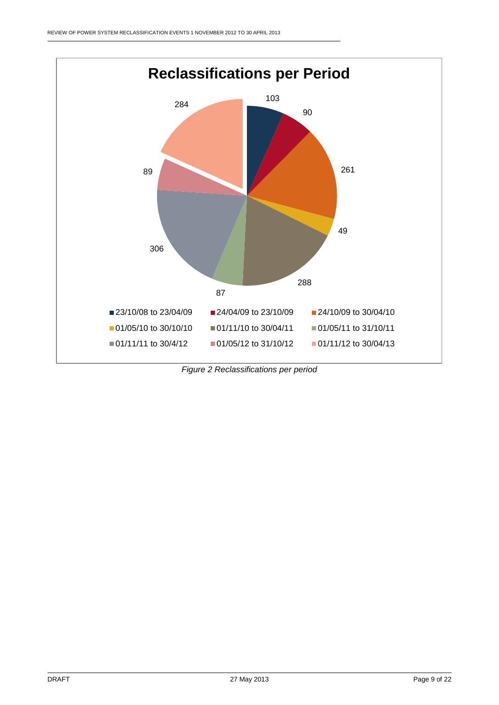

*Figure 2 Reclassifications per period*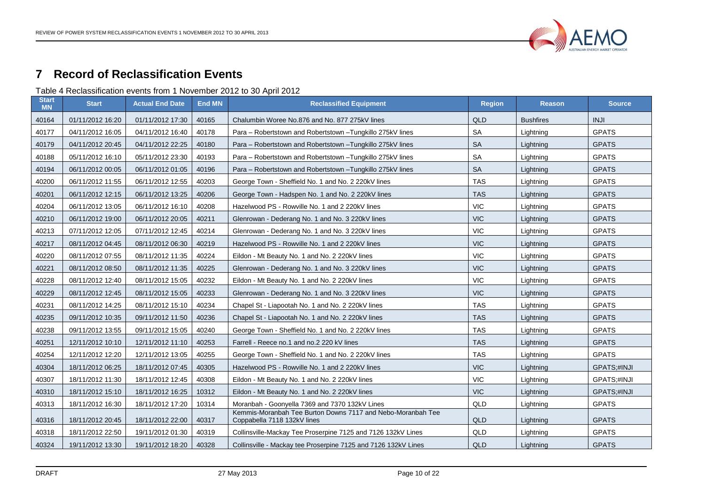

# **Record of Reclassification Events**

Table 4 Reclassification events from 1 November 2012 to 30 April 2012

<span id="page-9-1"></span><span id="page-9-0"></span>

| <b>Start</b><br><b>MN</b> | <b>Start</b>     | <b>Actual End Date</b> | <b>End MN</b> | <b>Reclassified Equipment</b>                                                              | <b>Region</b> | <b>Reason</b>    | <b>Source</b> |
|---------------------------|------------------|------------------------|---------------|--------------------------------------------------------------------------------------------|---------------|------------------|---------------|
| 40164                     | 01/11/2012 16:20 | 01/11/2012 17:30       | 40165         | Chalumbin Woree No.876 and No. 877 275kV lines                                             | QLD           | <b>Bushfires</b> | <b>INJI</b>   |
| 40177                     | 04/11/2012 16:05 | 04/11/2012 16:40       | 40178         | Para - Robertstown and Robertstown - Tungkillo 275kV lines                                 | <b>SA</b>     | Lightning        | <b>GPATS</b>  |
| 40179                     | 04/11/2012 20:45 | 04/11/2012 22:25       | 40180         | Para - Robertstown and Robertstown - Tungkillo 275kV lines                                 | <b>SA</b>     | Lightning        | <b>GPATS</b>  |
| 40188                     | 05/11/2012 16:10 | 05/11/2012 23:30       | 40193         | Para - Robertstown and Robertstown - Tungkillo 275kV lines                                 | <b>SA</b>     | Lightning        | <b>GPATS</b>  |
| 40194                     | 06/11/2012 00:05 | 06/11/2012 01:05       | 40196         | Para - Robertstown and Robertstown - Tungkillo 275kV lines                                 | <b>SA</b>     | Lightning        | <b>GPATS</b>  |
| 40200                     | 06/11/2012 11:55 | 06/11/2012 12:55       | 40203         | George Town - Sheffield No. 1 and No. 2 220kV lines                                        | <b>TAS</b>    | Lightning        | <b>GPATS</b>  |
| 40201                     | 06/11/2012 12:15 | 06/11/2012 13:25       | 40206         | George Town - Hadspen No. 1 and No. 2 220kV lines                                          | <b>TAS</b>    | Lightning        | <b>GPATS</b>  |
| 40204                     | 06/11/2012 13:05 | 06/11/2012 16:10       | 40208         | Hazelwood PS - Rowville No. 1 and 2 220kV lines                                            | <b>VIC</b>    | Lightning        | <b>GPATS</b>  |
| 40210                     | 06/11/2012 19:00 | 06/11/2012 20:05       | 40211         | Glenrowan - Dederang No. 1 and No. 3 220kV lines                                           | <b>VIC</b>    | Lightning        | <b>GPATS</b>  |
| 40213                     | 07/11/2012 12:05 | 07/11/2012 12:45       | 40214         | Glenrowan - Dederang No. 1 and No. 3 220kV lines                                           | <b>VIC</b>    | Lightning        | <b>GPATS</b>  |
| 40217                     | 08/11/2012 04:45 | 08/11/2012 06:30       | 40219         | Hazelwood PS - Rowville No. 1 and 2 220kV lines                                            | <b>VIC</b>    | Lightning        | <b>GPATS</b>  |
| 40220                     | 08/11/2012 07:55 | 08/11/2012 11:35       | 40224         | Eildon - Mt Beauty No. 1 and No. 2 220kV lines                                             | <b>VIC</b>    | Lightning        | <b>GPATS</b>  |
| 40221                     | 08/11/2012 08:50 | 08/11/2012 11:35       | 40225         | Glenrowan - Dederang No. 1 and No. 3 220kV lines                                           | <b>VIC</b>    | Lightning        | <b>GPATS</b>  |
| 40228                     | 08/11/2012 12:40 | 08/11/2012 15:05       | 40232         | Eildon - Mt Beauty No. 1 and No. 2 220kV lines                                             | <b>VIC</b>    | Lightning        | <b>GPATS</b>  |
| 40229                     | 08/11/2012 12:45 | 08/11/2012 15:05       | 40233         | Glenrowan - Dederang No. 1 and No. 3 220kV lines                                           | <b>VIC</b>    | Lightning        | <b>GPATS</b>  |
| 40231                     | 08/11/2012 14:25 | 08/11/2012 15:10       | 40234         | Chapel St - Liapootah No. 1 and No. 2 220kV lines                                          | <b>TAS</b>    | Lightning        | <b>GPATS</b>  |
| 40235                     | 09/11/2012 10:35 | 09/11/2012 11:50       | 40236         | Chapel St - Liapootah No. 1 and No. 2 220kV lines                                          | <b>TAS</b>    | Lightning        | <b>GPATS</b>  |
| 40238                     | 09/11/2012 13:55 | 09/11/2012 15:05       | 40240         | George Town - Sheffield No. 1 and No. 2 220kV lines                                        | <b>TAS</b>    | Lightning        | <b>GPATS</b>  |
| 40251                     | 12/11/2012 10:10 | 12/11/2012 11:10       | 40253         | Farrell - Reece no.1 and no.2 220 kV lines                                                 | <b>TAS</b>    | Lightning        | <b>GPATS</b>  |
| 40254                     | 12/11/2012 12:20 | 12/11/2012 13:05       | 40255         | George Town - Sheffield No. 1 and No. 2 220kV lines                                        | <b>TAS</b>    | Lightning        | <b>GPATS</b>  |
| 40304                     | 18/11/2012 06:25 | 18/11/2012 07:45       | 40305         | Hazelwood PS - Rowville No. 1 and 2 220kV lines                                            | <b>VIC</b>    | Lightning        | GPATS;#INJI   |
| 40307                     | 18/11/2012 11:30 | 18/11/2012 12:45       | 40308         | Eildon - Mt Beauty No. 1 and No. 2 220kV lines                                             | <b>VIC</b>    | Lightning        | GPATS;#INJI   |
| 40310                     | 18/11/2012 15:10 | 18/11/2012 16:25       | 10312         | Eildon - Mt Beauty No. 1 and No. 2 220kV lines                                             | <b>VIC</b>    | Lightning        | GPATS;#INJI   |
| 40313                     | 18/11/2012 16:30 | 18/11/2012 17:20       | 10314         | Moranbah - Goonyella 7369 and 7370 132kV Lines                                             | QLD           | Lightning        | <b>GPATS</b>  |
| 40316                     | 18/11/2012 20:45 | 18/11/2012 22:00       | 40317         | Kemmis-Moranbah Tee Burton Downs 7117 and Nebo-Moranbah Tee<br>Coppabella 7118 132kV lines | QLD           | Lightning        | <b>GPATS</b>  |
| 40318                     | 18/11/2012 22:50 | 19/11/2012 01:30       | 40319         | Collinsville-Mackay Tee Proserpine 7125 and 7126 132kV Lines                               | QLD           | Lightning        | <b>GPATS</b>  |
| 40324                     | 19/11/2012 13:30 | 19/11/2012 18:20       | 40328         | Collinsville - Mackay tee Proserpine 7125 and 7126 132kV Lines                             | QLD           | Lightning        | <b>GPATS</b>  |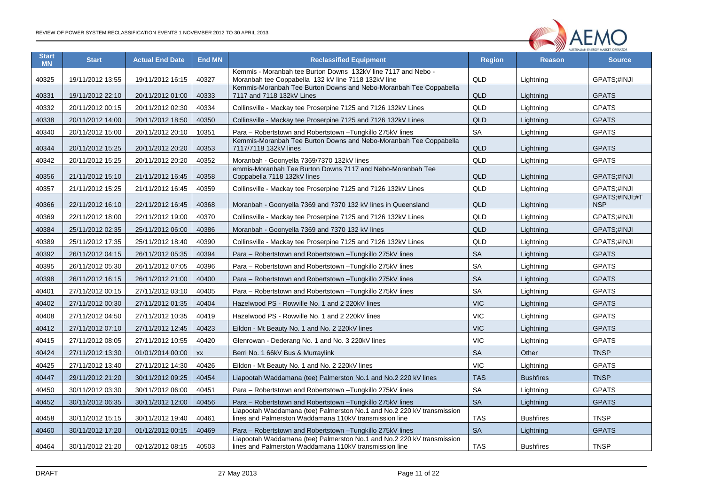

| <b>Start</b><br><b>MN</b> | <b>Start</b>     | <b>Actual End Date</b> | <b>End MN</b> | <b>Reclassified Equipment</b>                                                                                                    | <b>Region</b> | <b>Reason</b>    | <b>Source</b>                |
|---------------------------|------------------|------------------------|---------------|----------------------------------------------------------------------------------------------------------------------------------|---------------|------------------|------------------------------|
| 40325                     | 19/11/2012 13:55 | 19/11/2012 16:15       | 40327         | Kemmis - Moranbah tee Burton Downs 132kV line 7117 and Nebo -<br>Moranbah tee Coppabella 132 kV line 7118 132kV line             | QLD           | Lightning        | GPATS;#INJI                  |
| 40331                     | 19/11/2012 22:10 | 20/11/2012 01:00       | 40333         | Kemmis-Moranbah Tee Burton Downs and Nebo-Moranbah Tee Coppabella<br>7117 and 7118 132kV Lines                                   | QLD           | Lightning        | <b>GPATS</b>                 |
| 40332                     | 20/11/2012 00:15 | 20/11/2012 02:30       | 40334         | Collinsville - Mackay tee Proserpine 7125 and 7126 132kV Lines                                                                   | QLD           | Lightning        | <b>GPATS</b>                 |
| 40338                     | 20/11/2012 14:00 | 20/11/2012 18:50       | 40350         | Collinsville - Mackay tee Proserpine 7125 and 7126 132kV Lines                                                                   | QLD           | Lightning        | <b>GPATS</b>                 |
| 40340                     | 20/11/2012 15:00 | 20/11/2012 20:10       | 10351         | Para - Robertstown and Robertstown - Tungkillo 275kV lines                                                                       | SA            | Lightning        | <b>GPATS</b>                 |
| 40344                     | 20/11/2012 15:25 | 20/11/2012 20:20       | 40353         | Kemmis-Moranbah Tee Burton Downs and Nebo-Moranbah Tee Coppabella<br>7117/7118 132kV lines                                       | QLD           | Lightning        | <b>GPATS</b>                 |
| 40342                     | 20/11/2012 15:25 | 20/11/2012 20:20       | 40352         | Moranbah - Goonyella 7369/7370 132kV lines                                                                                       | QLD           | Lightning        | <b>GPATS</b>                 |
| 40356                     | 21/11/2012 15:10 | 21/11/2012 16:45       | 40358         | emmis-Moranbah Tee Burton Downs 7117 and Nebo-Moranbah Tee<br>Coppabella 7118 132kV lines                                        | QLD           | Lightning        | GPATS;#INJI                  |
| 40357                     | 21/11/2012 15:25 | 21/11/2012 16:45       | 40359         | Collinsville - Mackay tee Proserpine 7125 and 7126 132kV Lines                                                                   | QLD           | Lightning        | GPATS;#INJI                  |
| 40366                     | 22/11/2012 16:10 | 22/11/2012 16:45       | 40368         | Moranbah - Goonyella 7369 and 7370 132 kV lines in Queensland                                                                    | <b>QLD</b>    | Lightning        | GPATS;#INJI;#T<br><b>NSP</b> |
| 40369                     | 22/11/2012 18:00 | 22/11/2012 19:00       | 40370         | Collinsville - Mackay tee Proserpine 7125 and 7126 132kV Lines                                                                   | QLD           | Lightning        | GPATS;#INJI                  |
| 40384                     | 25/11/2012 02:35 | 25/11/2012 06:00       | 40386         | Moranbah - Goonyella 7369 and 7370 132 kV lines                                                                                  | QLD           | Lightning        | GPATS;#INJI                  |
| 40389                     | 25/11/2012 17:35 | 25/11/2012 18:40       | 40390         | Collinsville - Mackay tee Proserpine 7125 and 7126 132kV Lines                                                                   | QLD           | Lightning        | GPATS;#INJI                  |
| 40392                     | 26/11/2012 04:15 | 26/11/2012 05:35       | 40394         | Para – Robertstown and Robertstown – Tungkillo 275kV lines                                                                       | SA            | Lightning        | <b>GPATS</b>                 |
| 40395                     | 26/11/2012 05:30 | 26/11/2012 07:05       | 40396         | Para - Robertstown and Robertstown - Tungkillo 275kV lines                                                                       | SA            | Lightning        | <b>GPATS</b>                 |
| 40398                     | 26/11/2012 16:15 | 26/11/2012 21:00       | 40400         | Para - Robertstown and Robertstown - Tungkillo 275kV lines                                                                       | SA            | Lightning        | <b>GPATS</b>                 |
| 40401                     | 27/11/2012 00:15 | 27/11/2012 03:10       | 40405         | Para - Robertstown and Robertstown - Tungkillo 275kV lines                                                                       | SA            | Lightning        | <b>GPATS</b>                 |
| 40402                     | 27/11/2012 00:30 | 27/11/2012 01:35       | 40404         | Hazelwood PS - Rowville No. 1 and 2 220kV lines                                                                                  | <b>VIC</b>    | Lightning        | <b>GPATS</b>                 |
| 40408                     | 27/11/2012 04:50 | 27/11/2012 10:35       | 40419         | Hazelwood PS - Rowville No. 1 and 2 220kV lines                                                                                  | <b>VIC</b>    | Lightning        | <b>GPATS</b>                 |
| 40412                     | 27/11/2012 07:10 | 27/11/2012 12:45       | 40423         | Eildon - Mt Beauty No. 1 and No. 2 220kV lines                                                                                   | <b>VIC</b>    | Lightning        | <b>GPATS</b>                 |
| 40415                     | 27/11/2012 08:05 | 27/11/2012 10:55       | 40420         | Glenrowan - Dederang No. 1 and No. 3 220kV lines                                                                                 | <b>VIC</b>    | Lightning        | <b>GPATS</b>                 |
| 40424                     | 27/11/2012 13:30 | 01/01/2014 00:00       | XX            | Berri No. 1 66kV Bus & Murraylink                                                                                                | <b>SA</b>     | Other            | <b>TNSP</b>                  |
| 40425                     | 27/11/2012 13:40 | 27/11/2012 14:30       | 40426         | Eildon - Mt Beauty No. 1 and No. 2 220kV lines                                                                                   | <b>VIC</b>    | Lightning        | <b>GPATS</b>                 |
| 40447                     | 29/11/2012 21:20 | 30/11/2012 09:25       | 40454         | Liapootah Waddamana (tee) Palmerston No.1 and No.2 220 kV lines                                                                  | <b>TAS</b>    | <b>Bushfires</b> | <b>TNSP</b>                  |
| 40450                     | 30/11/2012 03:30 | 30/11/2012 06:00       | 40451         | Para - Robertstown and Robertstown - Tungkillo 275kV lines                                                                       | <b>SA</b>     | Lightning        | <b>GPATS</b>                 |
| 40452                     | 30/11/2012 06:35 | 30/11/2012 12:00       | 40456         | Para – Robertstown and Robertstown – Tungkillo 275kV lines                                                                       | <b>SA</b>     | Lightning        | <b>GPATS</b>                 |
| 40458                     | 30/11/2012 15:15 | 30/11/2012 19:40       | 40461         | Liapootah Waddamana (tee) Palmerston No.1 and No.2 220 kV transmission<br>lines and Palmerston Waddamana 110kV transmission line | <b>TAS</b>    | <b>Bushfires</b> | <b>TNSP</b>                  |
| 40460                     | 30/11/2012 17:20 | 01/12/2012 00:15       | 40469         | Para – Robertstown and Robertstown –Tungkillo 275kV lines                                                                        | <b>SA</b>     | Lightning        | <b>GPATS</b>                 |
| 40464                     | 30/11/2012 21:20 | 02/12/2012 08:15       | 40503         | Liapootah Waddamana (tee) Palmerston No.1 and No.2 220 kV transmission<br>lines and Palmerston Waddamana 110kV transmission line | <b>TAS</b>    | <b>Bushfires</b> | <b>TNSP</b>                  |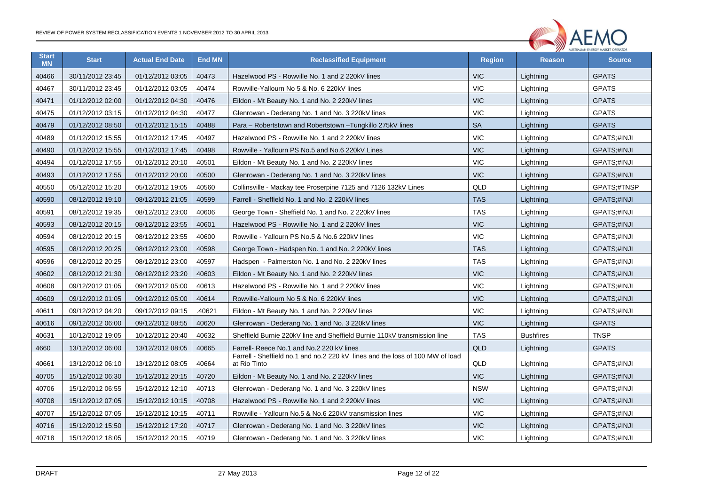

| <b>Start</b><br><b>MN</b> | <b>Start</b>     | <b>Actual End Date</b> | <b>End MN</b> | <b>Reclassified Equipment</b>                                                                 | <b>Region</b> | <b>Reason</b>    | <b>Source</b> |
|---------------------------|------------------|------------------------|---------------|-----------------------------------------------------------------------------------------------|---------------|------------------|---------------|
| 40466                     | 30/11/2012 23:45 | 01/12/2012 03:05       | 40473         | Hazelwood PS - Rowville No. 1 and 2 220kV lines                                               | <b>VIC</b>    | Lightning        | <b>GPATS</b>  |
| 40467                     | 30/11/2012 23:45 | 01/12/2012 03:05       | 40474         | Rowville-Yallourn No 5 & No. 6 220kV lines                                                    | <b>VIC</b>    | Lightning        | <b>GPATS</b>  |
| 40471                     | 01/12/2012 02:00 | 01/12/2012 04:30       | 40476         | Eildon - Mt Beauty No. 1 and No. 2 220kV lines                                                | <b>VIC</b>    | Lightning        | <b>GPATS</b>  |
| 40475                     | 01/12/2012 03:15 | 01/12/2012 04:30       | 40477         | Glenrowan - Dederang No. 1 and No. 3 220kV lines                                              | <b>VIC</b>    | Lightning        | <b>GPATS</b>  |
| 40479                     | 01/12/2012 08:50 | 01/12/2012 15:15       | 40488         | Para – Robertstown and Robertstown – Tungkillo 275kV lines                                    | <b>SA</b>     | Lightning        | <b>GPATS</b>  |
| 40489                     | 01/12/2012 15:55 | 01/12/2012 17:45       | 40497         | Hazelwood PS - Rowville No. 1 and 2 220kV lines                                               | <b>VIC</b>    | Lightning        | GPATS;#INJI   |
| 40490                     | 01/12/2012 15:55 | 01/12/2012 17:45       | 40498         | Rowville - Yallourn PS No.5 and No.6 220kV Lines                                              | <b>VIC</b>    | Lightning        | GPATS;#INJI   |
| 40494                     | 01/12/2012 17:55 | 01/12/2012 20:10       | 40501         | Eildon - Mt Beauty No. 1 and No. 2 220kV lines                                                | <b>VIC</b>    | Lightning        | GPATS;#INJI   |
| 40493                     | 01/12/2012 17:55 | 01/12/2012 20:00       | 40500         | Glenrowan - Dederang No. 1 and No. 3 220kV lines                                              | <b>VIC</b>    | Lightning        | GPATS;#INJI   |
| 40550                     | 05/12/2012 15:20 | 05/12/2012 19:05       | 40560         | Collinsville - Mackay tee Proserpine 7125 and 7126 132kV Lines                                | QLD           | Lightning        | GPATS;#TNSP   |
| 40590                     | 08/12/2012 19:10 | 08/12/2012 21:05       | 40599         | Farrell - Sheffield No. 1 and No. 2 220kV lines                                               | <b>TAS</b>    | Lightning        | GPATS;#INJI   |
| 40591                     | 08/12/2012 19:35 | 08/12/2012 23:00       | 40606         | George Town - Sheffield No. 1 and No. 2 220kV lines                                           | <b>TAS</b>    | Lightning        | GPATS;#INJI   |
| 40593                     | 08/12/2012 20:15 | 08/12/2012 23:55       | 40601         | Hazelwood PS - Rowville No. 1 and 2 220kV lines                                               | <b>VIC</b>    | Lightning        | GPATS;#INJI   |
| 40594                     | 08/12/2012 20:15 | 08/12/2012 23:55       | 40600         | Rowville - Yallourn PS No.5 & No.6 220kV lines                                                | <b>VIC</b>    | Lightning        | GPATS;#INJI   |
| 40595                     | 08/12/2012 20:25 | 08/12/2012 23:00       | 40598         | George Town - Hadspen No. 1 and No. 2 220kV lines                                             | <b>TAS</b>    | Lightning        | GPATS;#INJI   |
| 40596                     | 08/12/2012 20:25 | 08/12/2012 23:00       | 40597         | Hadspen - Palmerston No. 1 and No. 2 220kV lines                                              | <b>TAS</b>    | Lightning        | GPATS;#INJI   |
| 40602                     | 08/12/2012 21:30 | 08/12/2012 23:20       | 40603         | Eildon - Mt Beauty No. 1 and No. 2 220kV lines                                                | <b>VIC</b>    | Lightning        | GPATS;#INJI   |
| 40608                     | 09/12/2012 01:05 | 09/12/2012 05:00       | 40613         | Hazelwood PS - Rowville No. 1 and 2 220kV lines                                               | <b>VIC</b>    | Lightning        | GPATS;#INJI   |
| 40609                     | 09/12/2012 01:05 | 09/12/2012 05:00       | 40614         | Rowville-Yallourn No 5 & No. 6 220kV lines                                                    | <b>VIC</b>    | Lightning        | GPATS;#INJI   |
| 40611                     | 09/12/2012 04:20 | 09/12/2012 09:15       | .40621        | Eildon - Mt Beauty No. 1 and No. 2 220kV lines                                                | <b>VIC</b>    | Lightning        | GPATS;#INJI   |
| 40616                     | 09/12/2012 06:00 | 09/12/2012 08:55       | 40620         | Glenrowan - Dederang No. 1 and No. 3 220kV lines                                              | <b>VIC</b>    | Lightning        | <b>GPATS</b>  |
| 40631                     | 10/12/2012 19:05 | 10/12/2012 20:40       | 40632         | Sheffield Burnie 220kV line and Sheffield Burnie 110kV transmission line                      | <b>TAS</b>    | <b>Bushfires</b> | <b>TNSP</b>   |
| 4660                      | 13/12/2012 06:00 | 13/12/2012 08:05       | 40665         | Farrell- Reece No.1 and No.2 220 kV lines                                                     | QLD           | Lightning        | <b>GPATS</b>  |
| 40661                     | 13/12/2012 06:10 | 13/12/2012 08:05       | 40664         | Farrell - Sheffield no.1 and no.2 220 kV lines and the loss of 100 MW of load<br>at Rio Tinto | QLD           | Lightning        | GPATS;#INJI   |
| 40705                     | 15/12/2012 06:30 | 15/12/2012 20:15       | 40720         | Eildon - Mt Beauty No. 1 and No. 2 220kV lines                                                | <b>VIC</b>    | Lightning        | GPATS;#INJI   |
| 40706                     | 15/12/2012 06:55 | 15/12/2012 12:10       | 40713         | Glenrowan - Dederang No. 1 and No. 3 220kV lines                                              | <b>NSW</b>    | Lightning        | GPATS;#INJI   |
| 40708                     | 15/12/2012 07:05 | 15/12/2012 10:15       | 40708         | Hazelwood PS - Rowville No. 1 and 2 220kV lines                                               | <b>VIC</b>    | Lightning        | GPATS;#INJI   |
| 40707                     | 15/12/2012 07:05 | 15/12/2012 10:15       | 40711         | Rowville - Yallourn No.5 & No.6 220kV transmission lines                                      | <b>VIC</b>    | Lightning        | GPATS;#INJI   |
| 40716                     | 15/12/2012 15:50 | 15/12/2012 17:20       | 40717         | Glenrowan - Dederang No. 1 and No. 3 220kV lines                                              | <b>VIC</b>    | Lightning        | GPATS;#INJI   |
| 40718                     | 15/12/2012 18:05 | 15/12/2012 20:15       | 40719         | Glenrowan - Dederang No. 1 and No. 3 220kV lines                                              | <b>VIC</b>    | Lightning        | GPATS;#INJI   |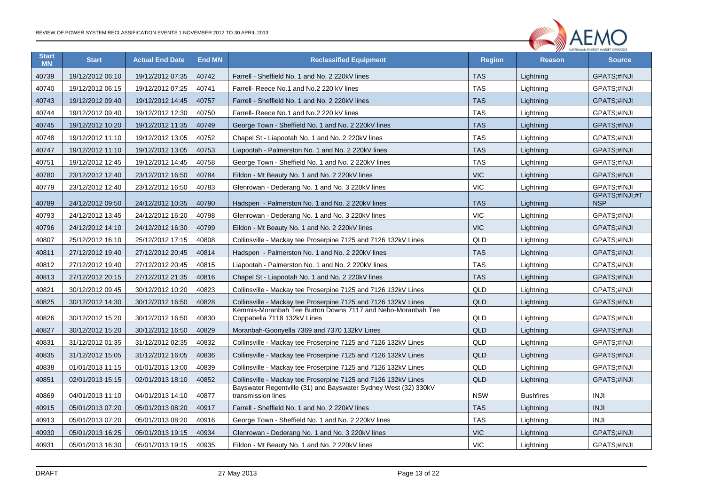

| <b>Start</b><br><b>MN</b> | <b>Start</b>     | <b>Actual End Date</b> | <b>End MN</b> | <b>Reclassified Equipment</b>                                                              | <b>Region</b> | <b>Reason</b>    | <b>Source</b>                |
|---------------------------|------------------|------------------------|---------------|--------------------------------------------------------------------------------------------|---------------|------------------|------------------------------|
| 40739                     | 19/12/2012 06:10 | 19/12/2012 07:35       | 40742         | Farrell - Sheffield No. 1 and No. 2 220kV lines                                            | <b>TAS</b>    | Liahtnina        | <b>GPATS:#INJI</b>           |
| 40740                     | 19/12/2012 06:15 | 19/12/2012 07:25       | 40741         | Farrell- Reece No.1 and No.2 220 kV lines                                                  | <b>TAS</b>    | Lightning        | GPATS;#INJI                  |
| 40743                     | 19/12/2012 09:40 | 19/12/2012 14:45       | 40757         | Farrell - Sheffield No. 1 and No. 2 220kV lines                                            | <b>TAS</b>    | Lightning        | GPATS;#INJI                  |
| 40744                     | 19/12/2012 09:40 | 19/12/2012 12:30       | 40750         | Farrell- Reece No.1 and No.2 220 kV lines                                                  | <b>TAS</b>    | Lightning        | GPATS;#INJI                  |
| 40745                     | 19/12/2012 10:20 | 19/12/2012 11:35       | 40749         | George Town - Sheffield No. 1 and No. 2 220kV lines                                        | <b>TAS</b>    | Lightning        | GPATS;#INJI                  |
| 40748                     | 19/12/2012 11:10 | 19/12/2012 13:05       | 40752         | Chapel St - Liapootah No. 1 and No. 2 220kV lines                                          | <b>TAS</b>    | Lightning        | GPATS:#INJI                  |
| 40747                     | 19/12/2012 11:10 | 19/12/2012 13:05       | 40753         | Liapootah - Palmerston No. 1 and No. 2 220kV lines                                         | <b>TAS</b>    | Lightning        | GPATS;#INJI                  |
| 40751                     | 19/12/2012 12:45 | 19/12/2012 14:45       | 40758         | George Town - Sheffield No. 1 and No. 2 220kV lines                                        | <b>TAS</b>    | Lightning        | GPATS;#INJI                  |
| 40780                     | 23/12/2012 12:40 | 23/12/2012 16:50       | 40784         | Eildon - Mt Beauty No. 1 and No. 2 220kV lines                                             | <b>VIC</b>    | Lightning        | GPATS;#INJI                  |
| 40779                     | 23/12/2012 12:40 | 23/12/2012 16:50       | 40783         | Glenrowan - Dederang No. 1 and No. 3 220kV lines                                           | <b>VIC</b>    | Lightning        | GPATS;#INJI                  |
| 40789                     | 24/12/2012 09:50 | 24/12/2012 10:35       | 40790         | Hadspen - Palmerston No. 1 and No. 2 220kV lines                                           | <b>TAS</b>    | Lightning        | GPATS;#INJI;#T<br><b>NSP</b> |
| 40793                     | 24/12/2012 13:45 | 24/12/2012 16:20       | 40798         | Glenrowan - Dederang No. 1 and No. 3 220kV lines                                           | <b>VIC</b>    | Lightning        | GPATS;#INJI                  |
| 40796                     | 24/12/2012 14:10 | 24/12/2012 16:30       | 40799         | Eildon - Mt Beauty No. 1 and No. 2 220kV lines                                             | <b>VIC</b>    | Lightning        | GPATS;#INJI                  |
| 40807                     | 25/12/2012 16:10 | 25/12/2012 17:15       | 40808         | Collinsville - Mackay tee Proserpine 7125 and 7126 132kV Lines                             | QLD           | Lightning        | GPATS;#INJI                  |
| 40811                     | 27/12/2012 19:40 | 27/12/2012 20:45       | 40814         | Hadspen - Palmerston No. 1 and No. 2 220kV lines                                           | <b>TAS</b>    | Lightning        | GPATS;#INJI                  |
| 40812                     | 27/12/2012 19:40 | 27/12/2012 20:45       | 40815         | Liapootah - Palmerston No. 1 and No. 2 220kV lines                                         | <b>TAS</b>    | Lightning        | GPATS;#INJI                  |
| 40813                     | 27/12/2012 20:15 | 27/12/2012 21:35       | 40816         | Chapel St - Liapootah No. 1 and No. 2 220kV lines                                          | <b>TAS</b>    | Lightning        | GPATS;#INJI                  |
| 40821                     | 30/12/2012 09:45 | 30/12/2012 10:20       | 40823         | Collinsville - Mackay tee Proserpine 7125 and 7126 132kV Lines                             | QLD           | Lightning        | GPATS;#INJI                  |
| 40825                     | 30/12/2012 14:30 | 30/12/2012 16:50       | 40828         | Collinsville - Mackay tee Proserpine 7125 and 7126 132kV Lines                             | <b>QLD</b>    | Lightning        | GPATS;#INJI                  |
| 40826                     | 30/12/2012 15:20 | 30/12/2012 16:50       | 40830         | Kemmis-Moranbah Tee Burton Downs 7117 and Nebo-Moranbah Tee<br>Coppabella 7118 132kV Lines | QLD           | Lightning        | GPATS;#INJI                  |
| 40827                     | 30/12/2012 15:20 | 30/12/2012 16:50       | 40829         | Moranbah-Goonyella 7369 and 7370 132kV Lines                                               | QLD           | Lightning        | GPATS;#INJI                  |
| 40831                     | 31/12/2012 01:35 | 31/12/2012 02:35       | 40832         | Collinsville - Mackay tee Proserpine 7125 and 7126 132kV Lines                             | QLD           | Lightning        | GPATS;#INJI                  |
| 40835                     | 31/12/2012 15:05 | 31/12/2012 16:05       | 40836         | Collinsville - Mackay tee Proserpine 7125 and 7126 132kV Lines                             | QLD           | Lightning        | GPATS;#INJI                  |
| 40838                     | 01/01/2013 11:15 | 01/01/2013 13:00       | 40839         | Collinsville - Mackay tee Proserpine 7125 and 7126 132kV Lines                             | QLD           | Lightning        | GPATS;#INJI                  |
| 40851                     | 02/01/2013 15:15 | 02/01/2013 18:10       | 40852         | Collinsville - Mackay tee Proserpine 7125 and 7126 132kV Lines                             | QLD           | Lightning        | GPATS;#INJI                  |
| 40869                     | 04/01/2013 11:10 | 04/01/2013 14:10       | 40877         | Bayswater Regentville (31) and Bayswater Sydney West (32) 330kV<br>transmission lines      | <b>NSW</b>    | <b>Bushfires</b> | <b>INJI</b>                  |
| 40915                     | 05/01/2013 07:20 | 05/01/2013 08:20       | 40917         | Farrell - Sheffield No. 1 and No. 2 220kV lines                                            | <b>TAS</b>    | Lightning        | <b>INJI</b>                  |
| 40913                     | 05/01/2013 07:20 | 05/01/2013 08:20       | 40916         | George Town - Sheffield No. 1 and No. 2 220kV lines                                        | <b>TAS</b>    | Lightning        | <b>INJI</b>                  |
| 40930                     | 05/01/2013 16:25 | 05/01/2013 19:15       | 40934         | Glenrowan - Dederang No. 1 and No. 3 220kV lines                                           | <b>VIC</b>    | Lightning        | GPATS;#INJI                  |
| 40931                     | 05/01/2013 16:30 | 05/01/2013 19:15       | 40935         | Eildon - Mt Beauty No. 1 and No. 2 220kV lines                                             | <b>VIC</b>    | Lightning        | GPATS;#INJI                  |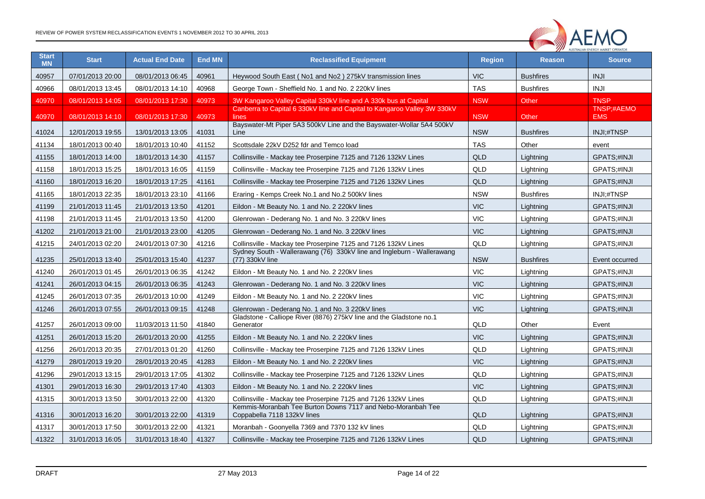

| <b>Start</b><br><b>MN</b> | <b>Start</b>     | <b>Actual End Date</b> | <b>End MN</b> | <b>Reclassified Equipment</b>                                                              | <b>Region</b> | <b>Reason</b>    | <b>Source</b>            |
|---------------------------|------------------|------------------------|---------------|--------------------------------------------------------------------------------------------|---------------|------------------|--------------------------|
| 40957                     | 07/01/2013 20:00 | 08/01/2013 06:45       | 40961         | Heywood South East (No1 and No2) 275kV transmission lines                                  | <b>VIC</b>    | <b>Bushfires</b> | <b>INJI</b>              |
| 40966                     | 08/01/2013 13:45 | 08/01/2013 14:10       | 40968         | George Town - Sheffield No. 1 and No. 2 220kV lines                                        | <b>TAS</b>    | <b>Bushfires</b> | <b>INJI</b>              |
| 40970                     | 08/01/2013 14:05 | 08/01/2013 17:30       | 40973         | 3W Kangaroo Valley Capital 330kV line and A 330k bus at Capital                            | <b>NSW</b>    | Other            | <b>TNSP</b>              |
| 40970                     | 08/01/2013 14:10 | 08/01/2013 17:30       | 40973         | Canberra to Capital 6 330kV line and Capital to Kangaroo Valley 3W 330kV<br>lines          | <b>NSW</b>    | Other            | TNSP:#AEMO<br><b>EMS</b> |
| 41024                     | 12/01/2013 19:55 | 13/01/2013 13:05       | 41031         | Bayswater-Mt Piper 5A3 500kV Line and the Bayswater-Wollar 5A4 500kV<br>Line               | <b>NSW</b>    | <b>Bushfires</b> | INJI;#TNSP               |
| 41134                     | 18/01/2013 00:40 | 18/01/2013 10:40       | 41152         | Scottsdale 22kV D252 fdr and Temco load                                                    | <b>TAS</b>    | Other            | event                    |
| 41155                     | 18/01/2013 14:00 | 18/01/2013 14:30       | 41157         | Collinsville - Mackay tee Proserpine 7125 and 7126 132kV Lines                             | <b>QLD</b>    | Lightning        | GPATS;#INJI              |
| 41158                     | 18/01/2013 15:25 | 18/01/2013 16:05       | 41159         | Collinsville - Mackay tee Proserpine 7125 and 7126 132kV Lines                             | QLD           | Lightning        | GPATS;#INJI              |
| 41160                     | 18/01/2013 16:20 | 18/01/2013 17:25       | 41161         | Collinsville - Mackay tee Proserpine 7125 and 7126 132kV Lines                             | <b>QLD</b>    | Lightning        | GPATS;#INJI              |
| 41165                     | 18/01/2013 22:35 | 18/01/2013 23:10       | 41166         | Eraring - Kemps Creek No.1 and No.2 500kV lines                                            | <b>NSW</b>    | <b>Bushfires</b> | INJI;#TNSP               |
| 41199                     | 21/01/2013 11:45 | 21/01/2013 13:50       | 41201         | Eildon - Mt Beauty No. 1 and No. 2 220kV lines                                             | <b>VIC</b>    | Lightning        | GPATS;#INJI              |
| 41198                     | 21/01/2013 11:45 | 21/01/2013 13:50       | 41200         | Glenrowan - Dederang No. 1 and No. 3 220kV lines                                           | <b>VIC</b>    | Lightning        | GPATS;#INJI              |
| 41202                     | 21/01/2013 21:00 | 21/01/2013 23:00       | 41205         | Glenrowan - Dederang No. 1 and No. 3 220kV lines                                           | <b>VIC</b>    | Lightning        | GPATS;#INJI              |
| 41215                     | 24/01/2013 02:20 | 24/01/2013 07:30       | 41216         | Collinsville - Mackay tee Proserpine 7125 and 7126 132kV Lines                             | QLD           | Lightning        | GPATS;#INJI              |
| 41235                     | 25/01/2013 13:40 | 25/01/2013 15:40       | 41237         | Sydney South - Wallerawang (76) 330kV line and Ingleburn - Wallerawang<br>(77) 330kV line  | <b>NSW</b>    | <b>Bushfires</b> | Event occurred           |
| 41240                     | 26/01/2013 01:45 | 26/01/2013 06:35       | 41242         | Eildon - Mt Beauty No. 1 and No. 2 220kV lines                                             | <b>VIC</b>    | Lightning        | GPATS;#INJI              |
| 41241                     | 26/01/2013 04:15 | 26/01/2013 06:35       | 41243         | Glenrowan - Dederang No. 1 and No. 3 220kV lines                                           | <b>VIC</b>    | Lightning        | GPATS;#INJI              |
| 41245                     | 26/01/2013 07:35 | 26/01/2013 10:00       | 41249         | Eildon - Mt Beauty No. 1 and No. 2 220kV lines                                             | <b>VIC</b>    | Lightning        | GPATS;#INJI              |
| 41246                     | 26/01/2013 07:55 | 26/01/2013 09:15       | 41248         | Glenrowan - Dederang No. 1 and No. 3 220kV lines                                           | <b>VIC</b>    | Lightning        | GPATS;#INJI              |
| 41257                     | 26/01/2013 09:00 | 11/03/2013 11:50       | 41840         | Gladstone - Calliope River (8876) 275kV line and the Gladstone no.1<br>Generator           | QLD           | Other            | Event                    |
| 41251                     | 26/01/2013 15:20 | 26/01/2013 20:00       | 41255         | Eildon - Mt Beauty No. 1 and No. 2 220kV lines                                             | <b>VIC</b>    | Lightning        | GPATS;#INJI              |
| 41256                     | 26/01/2013 20:35 | 27/01/2013 01:20       | 41260         | Collinsville - Mackay tee Proserpine 7125 and 7126 132kV Lines                             | QLD           | Lightning        | GPATS;#INJI              |
| 41279                     | 28/01/2013 19:20 | 28/01/2013 20:45       | 41283         | Eildon - Mt Beauty No. 1 and No. 2 220kV lines                                             | <b>VIC</b>    | Lightning        | GPATS;#INJI              |
| 41296                     | 29/01/2013 13:15 | 29/01/2013 17:05       | 41302         | Collinsville - Mackay tee Proserpine 7125 and 7126 132kV Lines                             | QLD           | Lightning        | GPATS;#INJI              |
| 41301                     | 29/01/2013 16:30 | 29/01/2013 17:40       | 41303         | Eildon - Mt Beauty No. 1 and No. 2 220kV lines                                             | <b>VIC</b>    | Lightning        | GPATS;#INJI              |
| 41315                     | 30/01/2013 13:50 | 30/01/2013 22:00       | 41320         | Collinsville - Mackay tee Proserpine 7125 and 7126 132kV Lines                             | QLD           | Lightning        | GPATS;#INJI              |
| 41316                     | 30/01/2013 16:20 | 30/01/2013 22:00       | 41319         | Kemmis-Moranbah Tee Burton Downs 7117 and Nebo-Moranbah Tee<br>Coppabella 7118 132kV lines | <b>QLD</b>    | Lightning        | GPATS;#INJI              |
| 41317                     | 30/01/2013 17:50 | 30/01/2013 22:00       | 41321         | Moranbah - Goonyella 7369 and 7370 132 kV lines                                            | QLD           | Lightning        | GPATS;#INJI              |
| 41322                     | 31/01/2013 16:05 | 31/01/2013 18:40       | 41327         | Collinsville - Mackay tee Proserpine 7125 and 7126 132kV Lines                             | <b>QLD</b>    | Lightning        | GPATS;#INJI              |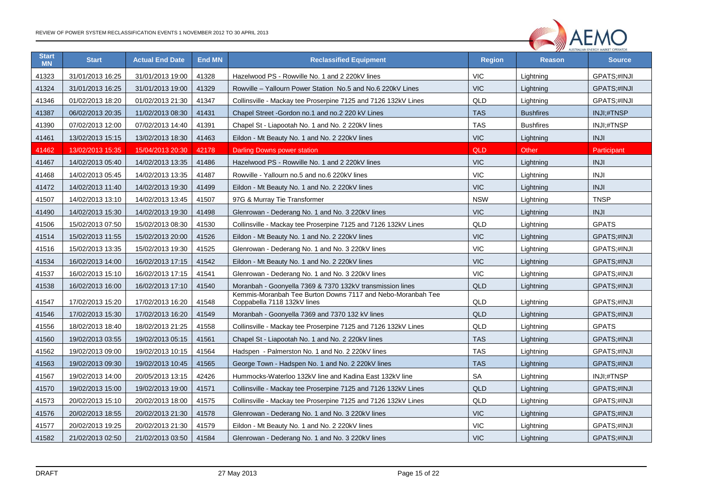

| <b>Start</b><br><b>MN</b> | <b>Start</b>     | <b>Actual End Date</b> | <b>End MN</b> | <b>Reclassified Equipment</b>                                                              | <b>Region</b> | <b>Reason</b>    | <b>Source</b>      |
|---------------------------|------------------|------------------------|---------------|--------------------------------------------------------------------------------------------|---------------|------------------|--------------------|
| 41323                     | 31/01/2013 16:25 | 31/01/2013 19:00       | 41328         | Hazelwood PS - Rowville No. 1 and 2 220kV lines                                            | <b>VIC</b>    | Lightning        | GPATS;#INJI        |
| 41324                     | 31/01/2013 16:25 | 31/01/2013 19:00       | 41329         | Rowville - Yallourn Power Station No.5 and No.6 220kV Lines                                | <b>VIC</b>    | Lightning        | GPATS;#INJI        |
| 41346                     | 01/02/2013 18:20 | 01/02/2013 21:30       | 41347         | Collinsville - Mackay tee Proserpine 7125 and 7126 132kV Lines                             | QLD           | Lightning        | GPATS;#INJI        |
| 41387                     | 06/02/2013 20:35 | 11/02/2013 08:30       | 41431         | Chapel Street - Gordon no.1 and no.2 220 kV Lines                                          | <b>TAS</b>    | <b>Bushfires</b> | INJI;#TNSP         |
| 41390                     | 07/02/2013 12:00 | 07/02/2013 14:40       | 41391         | Chapel St - Liapootah No. 1 and No. 2 220kV lines                                          | <b>TAS</b>    | <b>Bushfires</b> | INJI;#TNSP         |
| 41461                     | 13/02/2013 15:15 | 13/02/2013 18:30       | 41463         | Eildon - Mt Beauty No. 1 and No. 2 220kV lines                                             | <b>VIC</b>    | Lightning        | <b>INJI</b>        |
| 41462                     | 13/02/2013 15:35 | 15/04/2013 20:30       | 42178         | Darling Downs power station                                                                | QLD           | Other            | Participant        |
| 41467                     | 14/02/2013 05:40 | 14/02/2013 13:35       | 41486         | Hazelwood PS - Rowville No. 1 and 2 220kV lines                                            | <b>VIC</b>    | Lightning        | <b>INJI</b>        |
| 41468                     | 14/02/2013 05:45 | 14/02/2013 13:35       | 41487         | Rowville - Yallourn no.5 and no.6 220kV lines                                              | <b>VIC</b>    | Lightning        | <b>INJI</b>        |
| 41472                     | 14/02/2013 11:40 | 14/02/2013 19:30       | 41499         | Eildon - Mt Beauty No. 1 and No. 2 220kV lines                                             | <b>VIC</b>    | Lightning        | <b>INJI</b>        |
| 41507                     | 14/02/2013 13:10 | 14/02/2013 13:45       | 41507         | 97G & Murray Tie Transformer                                                               | <b>NSW</b>    | Lightning        | <b>TNSP</b>        |
| 41490                     | 14/02/2013 15:30 | 14/02/2013 19:30       | 41498         | Glenrowan - Dederang No. 1 and No. 3 220kV lines                                           | <b>VIC</b>    | Lightning        | <b>INJI</b>        |
| 41506                     | 15/02/2013 07:50 | 15/02/2013 08:30       | 41530         | Collinsville - Mackay tee Proserpine 7125 and 7126 132kV Lines                             | QLD           | Lightning        | <b>GPATS</b>       |
| 41514                     | 15/02/2013 11:55 | 15/02/2013 20:00       | 41526         | Eildon - Mt Beauty No. 1 and No. 2 220kV lines                                             | <b>VIC</b>    | Lightning        | GPATS;#INJI        |
| 41516                     | 15/02/2013 13:35 | 15/02/2013 19:30       | 41525         | Glenrowan - Dederang No. 1 and No. 3 220kV lines                                           | <b>VIC</b>    | Lightning        | GPATS;#INJI        |
| 41534                     | 16/02/2013 14:00 | 16/02/2013 17:15       | 41542         | Eildon - Mt Beauty No. 1 and No. 2 220kV lines                                             | <b>VIC</b>    | Lightning        | GPATS;#INJI        |
| 41537                     | 16/02/2013 15:10 | 16/02/2013 17:15       | 41541         | Glenrowan - Dederang No. 1 and No. 3 220kV lines                                           | <b>VIC</b>    | Lightning        | GPATS;#INJI        |
| 41538                     | 16/02/2013 16:00 | 16/02/2013 17:10       | 41540         | Moranbah - Goonyella 7369 & 7370 132kV transmission lines                                  | QLD           | Lightning        | GPATS;#INJI        |
| 41547                     | 17/02/2013 15:20 | 17/02/2013 16:20       | 41548         | Kemmis-Moranbah Tee Burton Downs 7117 and Nebo-Moranbah Tee<br>Coppabella 7118 132kV lines | QLD           | Lightning        | GPATS;#INJI        |
| 41546                     | 17/02/2013 15:30 | 17/02/2013 16:20       | 41549         | Moranbah - Goonyella 7369 and 7370 132 kV lines                                            | QLD           | Lightning        | GPATS;#INJI        |
| 41556                     | 18/02/2013 18:40 | 18/02/2013 21:25       | 41558         | Collinsville - Mackay tee Proserpine 7125 and 7126 132kV Lines                             | QLD           | Lightning        | <b>GPATS</b>       |
| 41560                     | 19/02/2013 03:55 | 19/02/2013 05:15       | 41561         | Chapel St - Liapootah No. 1 and No. 2 220kV lines                                          | <b>TAS</b>    | Lightning        | <b>GPATS:#INJI</b> |
| 41562                     | 19/02/2013 09:00 | 19/02/2013 10:15       | 41564         | Hadspen - Palmerston No. 1 and No. 2 220kV lines                                           | <b>TAS</b>    | Lightning        | GPATS;#INJI        |
| 41563                     | 19/02/2013 09:30 | 19/02/2013 10:45       | 41565         | George Town - Hadspen No. 1 and No. 2 220kV lines                                          | <b>TAS</b>    | Lightning        | GPATS;#INJI        |
| 41567                     | 19/02/2013 14:00 | 20/05/2013 13:15       | 42426         | Hummocks-Waterloo 132kV line and Kadina East 132kV line                                    | SA            | Lightning        | INJI;#TNSP         |
| 41570                     | 19/02/2013 15:00 | 19/02/2013 19:00       | 41571         | Collinsville - Mackay tee Proserpine 7125 and 7126 132kV Lines                             | QLD           | Lightning        | GPATS;#INJI        |
| 41573                     | 20/02/2013 15:10 | 20/02/2013 18:00       | 41575         | Collinsville - Mackay tee Proserpine 7125 and 7126 132kV Lines                             | QLD           | Lightning        | GPATS;#INJI        |
| 41576                     | 20/02/2013 18:55 | 20/02/2013 21:30       | 41578         | Glenrowan - Dederang No. 1 and No. 3 220kV lines                                           | <b>VIC</b>    | Lightning        | GPATS;#INJI        |
| 41577                     | 20/02/2013 19:25 | 20/02/2013 21:30       | 41579         | Eildon - Mt Beauty No. 1 and No. 2 220kV lines                                             | <b>VIC</b>    | Lightning        | GPATS;#INJI        |
| 41582                     | 21/02/2013 02:50 | 21/02/2013 03:50       | 41584         | Glenrowan - Dederang No. 1 and No. 3 220kV lines                                           | <b>VIC</b>    | Lightning        | GPATS;#INJI        |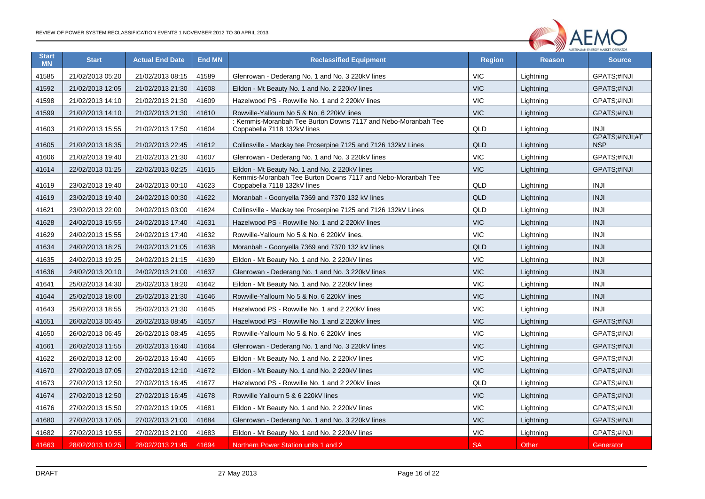

| <b>Start</b><br><b>MN</b> | <b>Start</b>     | <b>Actual End Date</b> | <b>End MN</b> | <b>Reclassified Equipment</b>                                                                | <b>Region</b> | <b>Reason</b> | <b>Source</b>                |
|---------------------------|------------------|------------------------|---------------|----------------------------------------------------------------------------------------------|---------------|---------------|------------------------------|
| 41585                     | 21/02/2013 05:20 | 21/02/2013 08:15       | 41589         | Glenrowan - Dederang No. 1 and No. 3 220kV lines                                             | <b>VIC</b>    | Lightning     | GPATS;#INJI                  |
| 41592                     | 21/02/2013 12:05 | 21/02/2013 21:30       | 41608         | Eildon - Mt Beauty No. 1 and No. 2 220kV lines                                               | <b>VIC</b>    | Lightning     | GPATS;#INJI                  |
| 41598                     | 21/02/2013 14:10 | 21/02/2013 21:30       | 41609         | Hazelwood PS - Rowville No. 1 and 2 220kV lines                                              | <b>VIC</b>    | Lightning     | GPATS;#INJI                  |
| 41599                     | 21/02/2013 14:10 | 21/02/2013 21:30       | 41610         | Rowville-Yallourn No 5 & No. 6 220kV lines                                                   | <b>VIC</b>    | Lightning     | GPATS;#INJI                  |
| 41603                     | 21/02/2013 15:55 | 21/02/2013 17:50       | 41604         | : Kemmis-Moranbah Tee Burton Downs 7117 and Nebo-Moranbah Tee<br>Coppabella 7118 132kV lines | QLD           | Lightning     | <b>INJI</b>                  |
| 41605                     | 21/02/2013 18:35 | 21/02/2013 22:45       | 41612         | Collinsville - Mackay tee Proserpine 7125 and 7126 132kV Lines                               | QLD           | Lightning     | GPATS;#INJI;#T<br><b>NSP</b> |
| 41606                     | 21/02/2013 19:40 | 21/02/2013 21:30       | 41607         | Glenrowan - Dederang No. 1 and No. 3 220kV lines                                             | <b>VIC</b>    | Lightning     | GPATS;#INJI                  |
| 41614                     | 22/02/2013 01:25 | 22/02/2013 02:25       | 41615         | Eildon - Mt Beauty No. 1 and No. 2 220kV lines                                               | <b>VIC</b>    | Lightning     | GPATS;#INJI                  |
| 41619                     | 23/02/2013 19:40 | 24/02/2013 00:10       | 41623         | Kemmis-Moranbah Tee Burton Downs 7117 and Nebo-Moranbah Tee<br>Coppabella 7118 132kV lines   | QLD           | Lightning     | <b>INJI</b>                  |
| 41619                     | 23/02/2013 19:40 | 24/02/2013 00:30       | 41622         | Moranbah - Goonyella 7369 and 7370 132 kV lines                                              | QLD           | Lightning     | <b>INJI</b>                  |
| 41621                     | 23/02/2013 22:00 | 24/02/2013 03:00       | 41624         | Collinsville - Mackay tee Proserpine 7125 and 7126 132kV Lines                               | QLD           | Lightning     | <b>INJI</b>                  |
| 41628                     | 24/02/2013 15:55 | 24/02/2013 17:40       | 41631         | Hazelwood PS - Rowville No. 1 and 2 220kV lines                                              | <b>VIC</b>    | Lightning     | <b>INJI</b>                  |
| 41629                     | 24/02/2013 15:55 | 24/02/2013 17:40       | 41632         | Rowville-Yallourn No 5 & No. 6 220kV lines.                                                  | <b>VIC</b>    | Lightning     | <b>INJI</b>                  |
| 41634                     | 24/02/2013 18:25 | 24/02/2013 21:05       | 41638         | Moranbah - Goonyella 7369 and 7370 132 kV lines                                              | QLD           | Lightning     | <b>INJI</b>                  |
| 41635                     | 24/02/2013 19:25 | 24/02/2013 21:15       | 41639         | Eildon - Mt Beauty No. 1 and No. 2 220kV lines                                               | <b>VIC</b>    | Lightning     | <b>INJI</b>                  |
| 41636                     | 24/02/2013 20:10 | 24/02/2013 21:00       | 41637         | Glenrowan - Dederang No. 1 and No. 3 220kV lines                                             | <b>VIC</b>    | Lightning     | <b>INJI</b>                  |
| 41641                     | 25/02/2013 14:30 | 25/02/2013 18:20       | 41642         | Eildon - Mt Beauty No. 1 and No. 2 220kV lines                                               | <b>VIC</b>    | Lightning     | <b>INJI</b>                  |
| 41644                     | 25/02/2013 18:00 | 25/02/2013 21:30       | 41646         | Rowville-Yallourn No 5 & No. 6 220kV lines                                                   | <b>VIC</b>    | Lightning     | <b>INJI</b>                  |
| 41643                     | 25/02/2013 18:55 | 25/02/2013 21:30       | 41645         | Hazelwood PS - Rowville No. 1 and 2 220kV lines                                              | <b>VIC</b>    | Lightning     | <b>INJI</b>                  |
| 41651                     | 26/02/2013 06:45 | 26/02/2013 08:45       | 41657         | Hazelwood PS - Rowville No. 1 and 2 220kV lines                                              | <b>VIC</b>    | Lightning     | GPATS;#INJI                  |
| 41650                     | 26/02/2013 06:45 | 26/02/2013 08:45       | 41655         | Rowville-Yallourn No 5 & No. 6 220kV lines                                                   | <b>VIC</b>    | Lightning     | GPATS;#INJI                  |
| 41661                     | 26/02/2013 11:55 | 26/02/2013 16:40       | 41664         | Glenrowan - Dederang No. 1 and No. 3 220kV lines                                             | <b>VIC</b>    | Lightning     | GPATS;#INJI                  |
| 41622                     | 26/02/2013 12:00 | 26/02/2013 16:40       | 41665         | Eildon - Mt Beauty No. 1 and No. 2 220kV lines                                               | <b>VIC</b>    | Lightning     | GPATS;#INJI                  |
| 41670                     | 27/02/2013 07:05 | 27/02/2013 12:10       | 41672         | Eildon - Mt Beauty No. 1 and No. 2 220kV lines                                               | <b>VIC</b>    | Lightning     | GPATS;#INJI                  |
| 41673                     | 27/02/2013 12:50 | 27/02/2013 16:45       | 41677         | Hazelwood PS - Rowville No. 1 and 2 220kV lines                                              | QLD           | Lightning     | GPATS;#INJI                  |
| 41674                     | 27/02/2013 12:50 | 27/02/2013 16:45       | 41678         | Rowville Yallourn 5 & 6 220kV lines                                                          | <b>VIC</b>    | Lightning     | GPATS;#INJI                  |
| 41676                     | 27/02/2013 15:50 | 27/02/2013 19:05       | 41681         | Eildon - Mt Beauty No. 1 and No. 2 220kV lines                                               | <b>VIC</b>    | Lightning     | GPATS;#INJI                  |
| 41680                     | 27/02/2013 17:05 | 27/02/2013 21:00       | 41684         | Glenrowan - Dederang No. 1 and No. 3 220kV lines                                             | <b>VIC</b>    | Lightning     | GPATS;#INJI                  |
| 41682                     | 27/02/2013 19:55 | 27/02/2013 21:00       | 41683         | Eildon - Mt Beauty No. 1 and No. 2 220kV lines                                               | <b>VIC</b>    | Lightning     | GPATS;#INJI                  |
| 41663                     | 28/02/2013 10:25 | 28/02/2013 21:45       | 41694         | Northern Power Station units 1 and 2                                                         | <b>SA</b>     | Other         | Generator                    |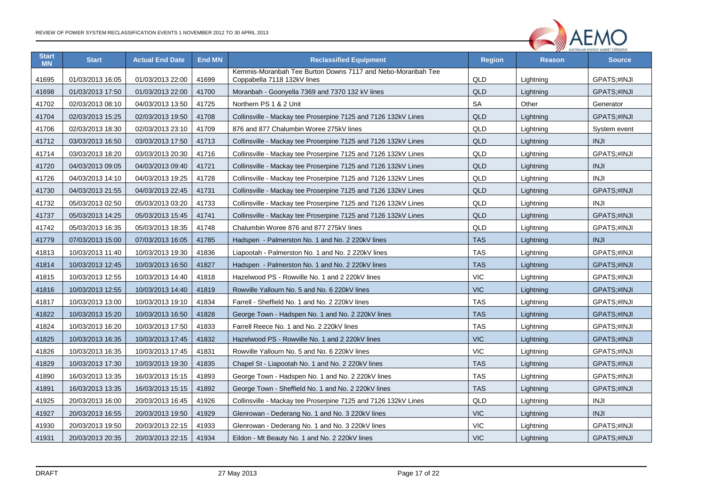

| <b>Start</b><br><b>MN</b> | <b>Start</b>     | <b>Actual End Date</b> | <b>End MN</b> | <b>Reclassified Equipment</b>                                                                     |            | <b>Reason</b> | <b>Source</b> |
|---------------------------|------------------|------------------------|---------------|---------------------------------------------------------------------------------------------------|------------|---------------|---------------|
| 41695                     | 01/03/2013 16:05 | 01/03/2013 22:00       | 41699         | Kemmis-Moranbah Tee Burton Downs 7117 and Nebo-Moranbah Tee<br>QLD<br>Coppabella 7118 132kV lines |            | Lightning     | GPATS;#INJI   |
| 41698                     | 01/03/2013 17:50 | 01/03/2013 22:00       | 41700         | Moranbah - Goonyella 7369 and 7370 132 kV lines                                                   | <b>QLD</b> | Lightning     | GPATS;#INJI   |
| 41702                     | 02/03/2013 08:10 | 04/03/2013 13:50       | 41725         | Northern PS 1 & 2 Unit                                                                            | <b>SA</b>  | Other         | Generator     |
| 41704                     | 02/03/2013 15:25 | 02/03/2013 19:50       | 41708         | Collinsville - Mackay tee Proserpine 7125 and 7126 132kV Lines                                    | <b>QLD</b> | Lightning     | GPATS;#INJI   |
| 41706                     | 02/03/2013 18:30 | 02/03/2013 23:10       | 41709         | 876 and 877 Chalumbin Woree 275kV lines                                                           | QLD        | Lightning     | System event  |
| 41712                     | 03/03/2013 16:50 | 03/03/2013 17:50       | 41713         | Collinsville - Mackay tee Proserpine 7125 and 7126 132kV Lines                                    | <b>QLD</b> | Lightning     | <b>INJI</b>   |
| 41714                     | 03/03/2013 18:20 | 03/03/2013 20:30       | 41716         | Collinsville - Mackay tee Proserpine 7125 and 7126 132kV Lines                                    | QLD        | Lightning     | GPATS;#INJI   |
| 41720                     | 04/03/2013 09:05 | 04/03/2013 09:40       | 41721         | Collinsville - Mackay tee Proserpine 7125 and 7126 132kV Lines                                    | QLD        | Lightning     | <b>INJI</b>   |
| 41726                     | 04/03/2013 14:10 | 04/03/2013 19:25       | 41728         | Collinsville - Mackay tee Proserpine 7125 and 7126 132kV Lines                                    | QLD        | Lightning     | <b>INJI</b>   |
| 41730                     | 04/03/2013 21:55 | 04/03/2013 22:45       | 41731         | Collinsville - Mackay tee Proserpine 7125 and 7126 132kV Lines                                    | QLD        | Lightning     | GPATS;#INJI   |
| 41732                     | 05/03/2013 02:50 | 05/03/2013 03:20       | 41733         | Collinsville - Mackay tee Proserpine 7125 and 7126 132kV Lines                                    | <b>QLD</b> | Lightning     | <b>INJI</b>   |
| 41737                     | 05/03/2013 14:25 | 05/03/2013 15:45       | 41741         | Collinsville - Mackay tee Proserpine 7125 and 7126 132kV Lines                                    | QLD        | Lightning     | GPATS;#INJI   |
| 41742                     | 05/03/2013 16:35 | 05/03/2013 18:35       | 41748         | Chalumbin Woree 876 and 877 275kV lines                                                           | QLD        | Lightning     | GPATS;#INJI   |
| 41779                     | 07/03/2013 15:00 | 07/03/2013 16:05       | 41785         | Hadspen - Palmerston No. 1 and No. 2 220kV lines                                                  | <b>TAS</b> | Lightning     | <b>INJI</b>   |
| 41813                     | 10/03/2013 11:40 | 10/03/2013 19:30       | 41836         | Liapootah - Palmerston No. 1 and No. 2 220kV lines                                                | <b>TAS</b> | Lightning     | GPATS;#INJI   |
| 41814                     | 10/03/2013 12:45 | 10/03/2013 16:50       | 41827         | Hadspen - Palmerston No. 1 and No. 2 220kV lines                                                  | <b>TAS</b> | Lightning     | GPATS;#INJI   |
| 41815                     | 10/03/2013 12:55 | 10/03/2013 14:40       | 41818         | Hazelwood PS - Rowville No. 1 and 2 220kV lines                                                   | <b>VIC</b> | Lightning     | GPATS;#INJI   |
| 41816                     | 10/03/2013 12:55 | 10/03/2013 14:40       | 41819         | Rowville Yallourn No. 5 and No. 6 220kV lines                                                     | <b>VIC</b> | Lightning     | GPATS;#INJI   |
| 41817                     | 10/03/2013 13:00 | 10/03/2013 19:10       | 41834         | Farrell - Sheffield No. 1 and No. 2 220kV lines                                                   | <b>TAS</b> | Lightning     | GPATS;#INJI   |
| 41822                     | 10/03/2013 15:20 | 10/03/2013 16:50       | 41828         | George Town - Hadspen No. 1 and No. 2 220kV lines                                                 | <b>TAS</b> | Lightning     | GPATS;#INJI   |
| 41824                     | 10/03/2013 16:20 | 10/03/2013 17:50       | 41833         | Farrell Reece No. 1 and No. 2 220kV lines                                                         | <b>TAS</b> | Lightning     | GPATS;#INJI   |
| 41825                     | 10/03/2013 16:35 | 10/03/2013 17:45       | 41832         | Hazelwood PS - Rowville No. 1 and 2 220kV lines                                                   | <b>VIC</b> | Lightning     | GPATS;#INJI   |
| 41826                     | 10/03/2013 16:35 | 10/03/2013 17:45       | 41831         | Rowville Yallourn No. 5 and No. 6 220kV lines                                                     | <b>VIC</b> | Lightning     | GPATS;#INJI   |
| 41829                     | 10/03/2013 17:30 | 10/03/2013 19:30       | 41835         | Chapel St - Liapootah No. 1 and No. 2 220kV lines                                                 | <b>TAS</b> | Lightning     | GPATS;#INJI   |
| 41890                     | 16/03/2013 13:35 | 16/03/2013 15:15       | 41893         | George Town - Hadspen No. 1 and No. 2 220kV lines                                                 | <b>TAS</b> | Lightning     | GPATS;#INJI   |
| 41891                     | 16/03/2013 13:35 | 16/03/2013 15:15       | 41892         | George Town - Sheffield No. 1 and No. 2 220kV lines                                               | <b>TAS</b> | Lightning     | GPATS;#INJI   |
| 41925                     | 20/03/2013 16:00 | 20/03/2013 16:45       | 41926         | Collinsville - Mackay tee Proserpine 7125 and 7126 132kV Lines                                    | QLD        | Lightning     | <b>INJI</b>   |
| 41927                     | 20/03/2013 16:55 | 20/03/2013 19:50       | 41929         | Glenrowan - Dederang No. 1 and No. 3 220kV lines                                                  | <b>VIC</b> | Lightning     | <b>INJI</b>   |
| 41930                     | 20/03/2013 19:50 | 20/03/2013 22:15       | 41933         | Glenrowan - Dederang No. 1 and No. 3 220kV lines                                                  | <b>VIC</b> | Lightning     | GPATS;#INJI   |
| 41931                     | 20/03/2013 20:35 | 20/03/2013 22:15       | 41934         | Eildon - Mt Beauty No. 1 and No. 2 220kV lines                                                    | <b>VIC</b> | Lightning     | GPATS;#INJI   |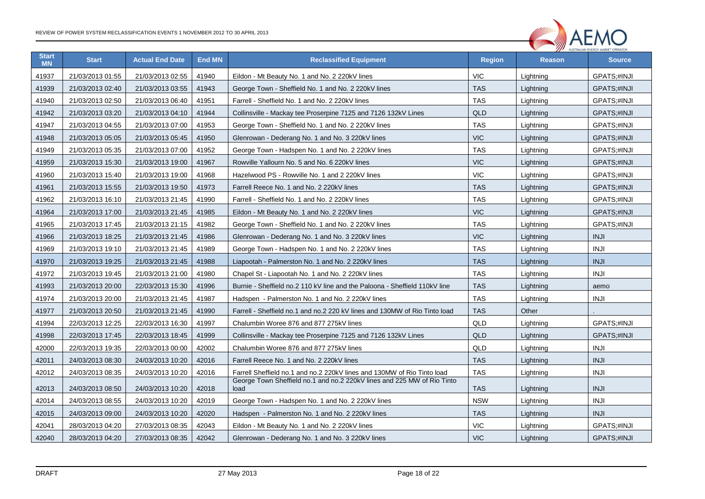

| <b>Start</b><br><b>MN</b> | <b>Start</b>     | <b>Actual End Date</b> | <b>End MN</b> | <b>Reclassified Equipment</b>                                                   |            | <b>Reason</b> | <b>Source</b>      |
|---------------------------|------------------|------------------------|---------------|---------------------------------------------------------------------------------|------------|---------------|--------------------|
| 41937                     | 21/03/2013 01:55 | 21/03/2013 02:55       | 41940         | Eildon - Mt Beauty No. 1 and No. 2 220kV lines                                  | <b>VIC</b> | Lightning     | GPATS;#INJI        |
| 41939                     | 21/03/2013 02:40 | 21/03/2013 03:55       | 41943         | George Town - Sheffield No. 1 and No. 2 220kV lines                             | <b>TAS</b> | Lightning     | <b>GPATS:#INJI</b> |
| 41940                     | 21/03/2013 02:50 | 21/03/2013 06:40       | 41951         | Farrell - Sheffield No. 1 and No. 2 220kV lines                                 | <b>TAS</b> | Lightning     | GPATS;#INJI        |
| 41942                     | 21/03/2013 03:20 | 21/03/2013 04:10       | 41944         | Collinsville - Mackay tee Proserpine 7125 and 7126 132kV Lines                  | <b>QLD</b> | Lightning     | GPATS;#INJI        |
| 41947                     | 21/03/2013 04:55 | 21/03/2013 07:00       | 41953         | <b>TAS</b><br>George Town - Sheffield No. 1 and No. 2 220kV lines               |            | Lightning     | GPATS;#INJI        |
| 41948                     | 21/03/2013 05:05 | 21/03/2013 05:45       | 41950         | Glenrowan - Dederang No. 1 and No. 3 220kV lines                                | <b>VIC</b> | Lightning     | GPATS;#INJI        |
| 41949                     | 21/03/2013 05:35 | 21/03/2013 07:00       | 41952         | George Town - Hadspen No. 1 and No. 2 220kV lines                               | <b>TAS</b> | Lightning     | GPATS;#INJI        |
| 41959                     | 21/03/2013 15:30 | 21/03/2013 19:00       | 41967         | Rowville Yallourn No. 5 and No. 6 220kV lines                                   | <b>VIC</b> | Lightning     | GPATS;#INJI        |
| 41960                     | 21/03/2013 15:40 | 21/03/2013 19:00       | 41968         | Hazelwood PS - Rowville No. 1 and 2 220kV lines                                 | <b>VIC</b> | Lightning     | GPATS;#INJI        |
| 41961                     | 21/03/2013 15:55 | 21/03/2013 19:50       | 41973         | Farrell Reece No. 1 and No. 2 220kV lines                                       | <b>TAS</b> | Lightning     | <b>GPATS:#INJI</b> |
| 41962                     | 21/03/2013 16:10 | 21/03/2013 21:45       | 41990         | Farrell - Sheffield No. 1 and No. 2 220kV lines                                 | <b>TAS</b> | Lightning     | GPATS;#INJI        |
| 41964                     | 21/03/2013 17:00 | 21/03/2013 21:45       | 41985         | Eildon - Mt Beauty No. 1 and No. 2 220kV lines                                  | <b>VIC</b> | Lightning     | GPATS;#INJI        |
| 41965                     | 21/03/2013 17:45 | 21/03/2013 21:15       | 41982         | George Town - Sheffield No. 1 and No. 2 220kV lines                             | <b>TAS</b> | Lightning     | GPATS;#INJI        |
| 41966                     | 21/03/2013 18:25 | 21/03/2013 21:45       | 41986         | Glenrowan - Dederang No. 1 and No. 3 220kV lines                                | <b>VIC</b> | Lightning     | <b>INJI</b>        |
| 41969                     | 21/03/2013 19:10 | 21/03/2013 21:45       | 41989         | George Town - Hadspen No. 1 and No. 2 220kV lines                               | <b>TAS</b> | Lightning     | <b>INJI</b>        |
| 41970                     | 21/03/2013 19:25 | 21/03/2013 21:45       | 41988         | Liapootah - Palmerston No. 1 and No. 2 220kV lines                              | <b>TAS</b> | Lightning     | <b>INJI</b>        |
| 41972                     | 21/03/2013 19:45 | 21/03/2013 21:00       | 41980         | Chapel St - Liapootah No. 1 and No. 2 220kV lines                               | <b>TAS</b> | Lightning     | <b>INJI</b>        |
| 41993                     | 21/03/2013 20:00 | 22/03/2013 15:30       | 41996         | Burnie - Sheffield no.2 110 kV line and the Paloona - Sheffield 110kV line      | <b>TAS</b> | Lightning     | aemo               |
| 41974                     | 21/03/2013 20:00 | 21/03/2013 21:45       | 41987         | Hadspen - Palmerston No. 1 and No. 2 220kV lines                                | <b>TAS</b> | Lightning     | <b>INJI</b>        |
| 41977                     | 21/03/2013 20:50 | 21/03/2013 21:45       | 41990         | Farrell - Sheffield no.1 and no.2 220 kV lines and 130MW of Rio Tinto load      | <b>TAS</b> | Other         |                    |
| 41994                     | 22/03/2013 12:25 | 22/03/2013 16:30       | 41997         | Chalumbin Woree 876 and 877 275kV lines                                         | QLD        | Lightning     | GPATS:#INJI        |
| 41998                     | 22/03/2013 17:45 | 22/03/2013 18:45       | 41999         | Collinsville - Mackay tee Proserpine 7125 and 7126 132kV Lines                  | <b>QLD</b> | Lightning     | GPATS;#INJI        |
| 42000                     | 22/03/2013 19:35 | 22/03/2013 00:00       | 42002         | Chalumbin Woree 876 and 877 275kV lines                                         | QLD        | Lightning     | <b>INJI</b>        |
| 42011                     | 24/03/2013 08:30 | 24/03/2013 10:20       | 42016         | Farrell Reece No. 1 and No. 2 220kV lines                                       | <b>TAS</b> | Lightning     | <b>INJI</b>        |
| 42012                     | 24/03/2013 08:35 | 24/03/2013 10:20       | 42016         | Farrell Sheffield no.1 and no.2 220kV lines and 130MW of Rio Tinto load         | <b>TAS</b> | Lightning     | <b>INJI</b>        |
| 42013                     | 24/03/2013 08:50 | 24/03/2013 10:20       | 42018         | George Town Sheffield no.1 and no.2 220kV lines and 225 MW of Rio Tinto<br>load | <b>TAS</b> | Lightning     | <b>INJI</b>        |
| 42014                     | 24/03/2013 08:55 | 24/03/2013 10:20       | 42019         | George Town - Hadspen No. 1 and No. 2 220kV lines                               | <b>NSW</b> | Lightning     | <b>INJI</b>        |
| 42015                     | 24/03/2013 09:00 | 24/03/2013 10:20       | 42020         | Hadspen - Palmerston No. 1 and No. 2 220kV lines                                | <b>TAS</b> | Lightning     | <b>INJI</b>        |
| 42041                     | 28/03/2013 04:20 | 27/03/2013 08:35       | 42043         | Eildon - Mt Beauty No. 1 and No. 2 220kV lines                                  | <b>VIC</b> | Lightning     | GPATS;#INJI        |
| 42040                     | 28/03/2013 04:20 | 27/03/2013 08:35       | 42042         | Glenrowan - Dederang No. 1 and No. 3 220kV lines                                | <b>VIC</b> | Lightning     | GPATS;#INJI        |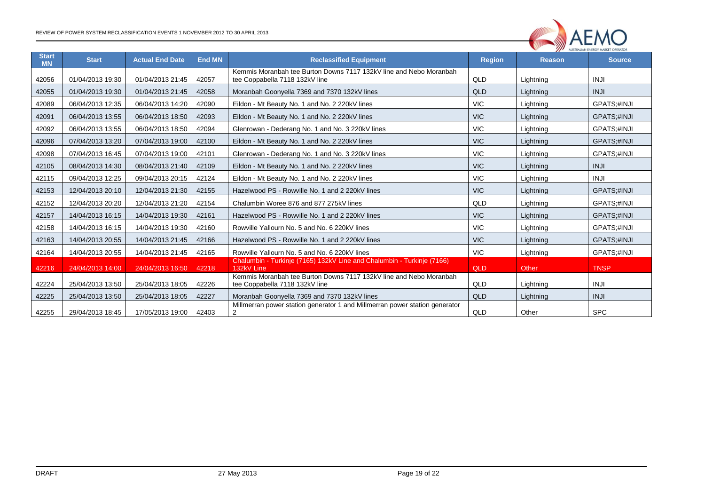

| <b>Start</b><br><b>MN</b> | <b>Start</b>     | <b>Actual End Date</b> | <b>End MN</b> | <b>Reclassified Equipment</b>                                                                        | <b>Region</b> | <b>Reason</b> | AUSTRALIAN EINERGT MARKET OFERATOR<br><b>Source</b> |
|---------------------------|------------------|------------------------|---------------|------------------------------------------------------------------------------------------------------|---------------|---------------|-----------------------------------------------------|
| 42056                     | 01/04/2013 19:30 | 01/04/2013 21:45       | 42057         | Kemmis Moranbah tee Burton Downs 7117 132kV line and Nebo Moranbah                                   | QLD           |               | <b>INJI</b>                                         |
|                           |                  |                        |               | tee Coppabella 7118 132kV line                                                                       |               | Lightning     |                                                     |
| 42055                     | 01/04/2013 19:30 | 01/04/2013 21:45       | 42058         | Moranbah Goonyella 7369 and 7370 132kV lines                                                         | QLD           | Lightning     | <b>INJI</b>                                         |
| 42089                     | 06/04/2013 12:35 | 06/04/2013 14:20       | 42090         | Eildon - Mt Beauty No. 1 and No. 2 220kV lines                                                       | <b>VIC</b>    | Lightning     | GPATS;#INJI                                         |
| 42091                     | 06/04/2013 13:55 | 06/04/2013 18:50       | 42093         | Eildon - Mt Beauty No. 1 and No. 2 220kV lines                                                       | <b>VIC</b>    | Lightning     | GPATS;#INJI                                         |
| 42092                     | 06/04/2013 13:55 | 06/04/2013 18:50       | 42094         | Glenrowan - Dederang No. 1 and No. 3 220kV lines                                                     | <b>VIC</b>    | Lightning     | GPATS;#INJI                                         |
| 42096                     | 07/04/2013 13:20 | 07/04/2013 19:00       | 42100         | Eildon - Mt Beauty No. 1 and No. 2 220kV lines                                                       | <b>VIC</b>    | Lightning     | GPATS;#INJI                                         |
| 42098                     | 07/04/2013 16:45 | 07/04/2013 19:00       | 42101         | Glenrowan - Dederang No. 1 and No. 3 220kV lines                                                     | <b>VIC</b>    | Lightning     | GPATS;#INJI                                         |
| 42105                     | 08/04/2013 14:30 | 08/04/2013 21:40       | 42109         | Eildon - Mt Beauty No. 1 and No. 2 220kV lines                                                       | <b>VIC</b>    | Lightning     | <b>INJI</b>                                         |
| 42115                     | 09/04/2013 12:25 | 09/04/2013 20:15       | 42124         | Eildon - Mt Beauty No. 1 and No. 2 220kV lines                                                       | <b>VIC</b>    | Lightning     | <b>INJI</b>                                         |
| 42153                     | 12/04/2013 20:10 | 12/04/2013 21:30       | 42155         | Hazelwood PS - Rowville No. 1 and 2 220kV lines                                                      | <b>VIC</b>    | Lightning     | GPATS;#INJI                                         |
| 42152                     | 12/04/2013 20:20 | 12/04/2013 21:20       | 42154         | Chalumbin Woree 876 and 877 275kV lines                                                              | QLD           | Lightning     | GPATS;#INJI                                         |
| 42157                     | 14/04/2013 16:15 | 14/04/2013 19:30       | 42161         | Hazelwood PS - Rowville No. 1 and 2 220kV lines                                                      | <b>VIC</b>    | Lightning     | GPATS;#INJI                                         |
| 42158                     | 14/04/2013 16:15 | 14/04/2013 19:30       | 42160         | Rowville Yallourn No. 5 and No. 6 220kV lines                                                        | <b>VIC</b>    | Lightning     | GPATS;#INJI                                         |
| 42163                     | 14/04/2013 20:55 | 14/04/2013 21:45       | 42166         | Hazelwood PS - Rowville No. 1 and 2 220kV lines                                                      | <b>VIC</b>    | Lightning     | GPATS;#INJI                                         |
| 42164                     | 14/04/2013 20:55 | 14/04/2013 21:45       | 42165         | Rowville Yallourn No. 5 and No. 6 220kV lines                                                        | <b>VIC</b>    | Lightning     | GPATS;#INJI                                         |
| 42216                     | 24/04/2013 14:00 | 24/04/2013 16:50       | 42218         | Chalumbin - Turkinje (7165) 132kV Line and Chalumbin - Turkinje (7166)<br>132kV Line                 | QLD           | Other         | <b>TNSP</b>                                         |
| 42224                     | 25/04/2013 13:50 | 25/04/2013 18:05       | 42226         | Kemmis Moranbah tee Burton Downs 7117 132kV line and Nebo Moranbah<br>tee Coppabella 7118 132kV line | QLD           | Lightning     | <b>INJI</b>                                         |
| 42225                     | 25/04/2013 13:50 | 25/04/2013 18:05       | 42227         | Moranbah Goonyella 7369 and 7370 132kV lines                                                         | <b>QLD</b>    | Lightning     | <b>INJI</b>                                         |
| 42255                     | 29/04/2013 18:45 | 17/05/2013 19:00       | 42403         | Millmerran power station generator 1 and Millmerran power station generator<br>2                     | QLD           | Other         | <b>SPC</b>                                          |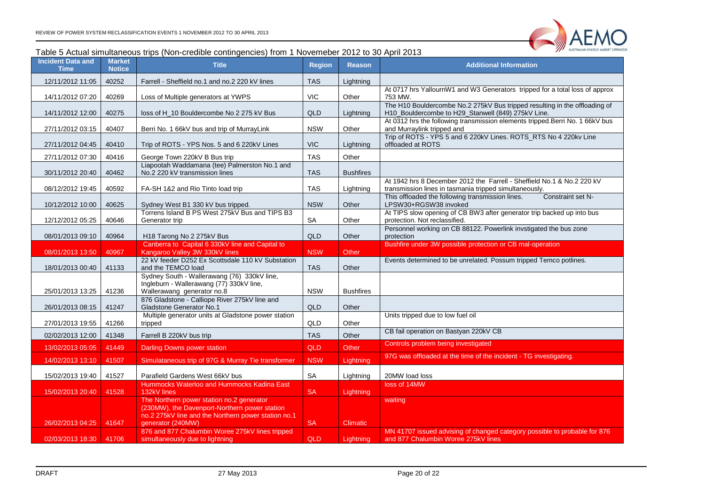

#### Table 5 Actual simultaneous trips (Non-credible contingencies) from 1 Novemeber 2012 to 30 April 2013

<span id="page-19-0"></span>

| <b>Incident Data and</b><br><b>Time</b> | <b>Market</b><br><b>Notice</b> | <b>Title</b>                                                                               | <b>Region</b> | <b>Reason</b>    | <b>Additional Information</b>                                                                                                    |
|-----------------------------------------|--------------------------------|--------------------------------------------------------------------------------------------|---------------|------------------|----------------------------------------------------------------------------------------------------------------------------------|
| 12/11/2012 11:05                        | 40252                          | Farrell - Sheffield no.1 and no.2 220 kV lines                                             | <b>TAS</b>    | Lightning        |                                                                                                                                  |
| 14/11/2012 07:20                        | 40269                          | Loss of Multiple generators at YWPS                                                        | <b>VIC</b>    | Other            | At 0717 hrs YallournW1 and W3 Generators tripped for a total loss of approx<br>753 MW.                                           |
| 14/11/2012 12:00                        | 40275                          | loss of H 10 Bouldercombe No 2 275 kV Bus                                                  | <b>QLD</b>    | Lightning        | The H10 Bouldercombe No.2 275kV Bus tripped resulting in the offloading of<br>H10_Bouldercombe to H29_Stanwell (849) 275kV Line. |
| 27/11/2012 03:15                        | 40407                          | Berri No. 1 66kV bus and trip of MurrayLink                                                | <b>NSW</b>    | Other            | At 0312 hrs the following transmission elements tripped. Berri No. 1 66kV bus<br>and Murraylink tripped and                      |
| 27/11/2012 04:45                        | 40410                          | Trip of ROTS - YPS Nos. 5 and 6 220kV Lines                                                | <b>VIC</b>    | Lightning        | Trip of ROTS - YPS 5 and 6 220kV Lines. ROTS_RTS No 4 220kv Line<br>offloaded at ROTS                                            |
| 27/11/2012 07:30                        | 40416                          | George Town 220kV B Bus trip                                                               | <b>TAS</b>    | Other            |                                                                                                                                  |
| 30/11/2012 20:40                        | 40462                          | Liapootah Waddamana (tee) Palmerston No.1 and<br>No.2 220 kV transmission lines            | <b>TAS</b>    | <b>Bushfires</b> |                                                                                                                                  |
| 08/12/2012 19:45                        | 40592                          | FA-SH 1&2 and Rio Tinto load trip                                                          | <b>TAS</b>    | Lightning        | At 1942 hrs 8 December 2012 the Farrell - Sheffield No.1 & No.2 220 kV<br>transmission lines in tasmania tripped simultaneously. |
| 10/12/2012 10:00                        | 40625                          | Sydney West B1 330 kV bus tripped.                                                         | <b>NSW</b>    | Other            | This offloaded the following transmission lines.<br>Constraint set N-<br>LPSW30+RGSW38 invoked                                   |
|                                         |                                | Torrens Island B PS West 275kV Bus and TIPS B3                                             |               |                  | At TIPS slow opening of CB BW3 after generator trip backed up into bus                                                           |
| 12/12/2012 05:25                        | 40646                          | Generator trip                                                                             | SA            | Other            | protection. Not reclassified.                                                                                                    |
| 08/01/2013 09:10                        | 40964                          | H18 Tarong No 2 275kV Bus                                                                  | QLD           | Other            | Personnel working on CB 88122. Powerlink invstigated the bus zone<br>protection                                                  |
| 08/01/2013 13:50                        | 40967                          | Canberra to Capital 6 330kV line and Capital to<br>Kangaroo Valley 3W 330kV lines          | <b>NSW</b>    | Other            | Bushfire under 3W possible protection or CB mal-operation                                                                        |
|                                         |                                | 22 kV feeder D252 Ex Scottsdale 110 kV Substation                                          |               |                  | Events determined to be unrelated. Possum tripped Temco potlines.                                                                |
| 18/01/2013 00:40                        | 41133                          | and the TEMCO load                                                                         | <b>TAS</b>    | Other            |                                                                                                                                  |
|                                         |                                | Sydney South - Wallerawang (76) 330kV line,<br>Ingleburn - Wallerawang (77) 330kV line,    |               |                  |                                                                                                                                  |
| 25/01/2013 13:25                        | 41236                          | Wallerawang generator no.8<br>876 Gladstone - Calliope River 275kV line and                | <b>NSW</b>    | <b>Bushfires</b> |                                                                                                                                  |
| 26/01/2013 08:15                        | 41247                          | Gladstone Generator No.1                                                                   | QLD           | Other            |                                                                                                                                  |
| 27/01/2013 19:55                        | 41266                          | Multiple generator units at Gladstone power station<br>tripped                             | <b>QLD</b>    | Other            | Units tripped due to low fuel oil                                                                                                |
| 02/02/2013 12:00                        | 41348                          | Farrell B 220kV bus trip                                                                   | <b>TAS</b>    | Other            | CB fail operation on Bastyan 220kV CB                                                                                            |
| 13/02/2013 05:05                        | 41449                          | <b>Darling Downs power station</b>                                                         | <b>QLD</b>    | Other            | Controls problem being investigated                                                                                              |
| 14/02/2013 13:10                        | 41507                          | Simulataneous trip of 97G & Murray Tie transformer                                         | <b>NSW</b>    | Lightning        | 97G was offloaded at the time of the incident - TG investigating.                                                                |
|                                         |                                |                                                                                            |               |                  |                                                                                                                                  |
| 15/02/2013 19:40                        | 41527                          | Parafield Gardens West 66kV bus<br>Hummocks Waterloo and Hummocks Kadina East              | SA            | Lightning        | 20MW load loss<br>loss of 14MW                                                                                                   |
| 15/02/2013 20:40                        | 41528                          | 132kV lines                                                                                | <b>SA</b>     | Lightning        |                                                                                                                                  |
|                                         |                                | The Northern power station no.2 generator<br>(230MW), the Davenport-Northern power station |               |                  | waiting                                                                                                                          |
| 26/02/2013 04:25                        | 41647                          | no.2 275kV line and the Northern power station no.1<br>generator (240MW)                   | <b>SA</b>     | <b>Climatic</b>  |                                                                                                                                  |
| 02/03/2013 18:30                        | 41706                          | 876 and 877 Chalumbin Woree 275kV lines tripped<br>simultaneously due to lightning         | <b>QLD</b>    | Lightning        | MN 41707 issued advising of changed category possible to probable for 876<br>and 877 Chalumbin Woree 275kV lines                 |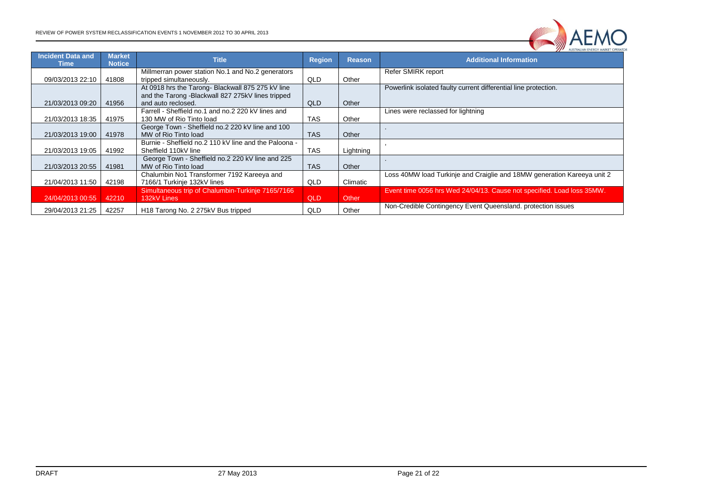

| <b>Incident Data and</b> | <b>Market</b><br><b>Notice</b> | <b>Title</b>                                          | <b>Region</b> | <b>Reason</b> | <b>MUSTIMEININ EINERGT MARKET OFEN</b><br><b>Additional Information</b> |
|--------------------------|--------------------------------|-------------------------------------------------------|---------------|---------------|-------------------------------------------------------------------------|
| Time                     |                                | Millmerran power station No.1 and No.2 generators     |               |               | Refer SMIRK report                                                      |
| 09/03/2013 22:10         | 41808                          | tripped simultaneously.                               | QLD           | Other         |                                                                         |
|                          |                                | At 0918 hrs the Tarong- Blackwall 875 275 kV line     |               |               | Powerlink isolated faulty current differential line protection.         |
|                          |                                | and the Tarong -Blackwall 827 275kV lines tripped     |               |               |                                                                         |
| 21/03/2013 09:20         | 41956                          | and auto reclosed.                                    | <b>QLD</b>    | Other         |                                                                         |
|                          |                                | Farrell - Sheffield no.1 and no.2 220 kV lines and    |               |               | Lines were reclassed for lightning                                      |
| 21/03/2013 18:35         | 41975                          | 130 MW of Rio Tinto load                              | <b>TAS</b>    | Other         |                                                                         |
|                          |                                | George Town - Sheffield no.2 220 kV line and 100      |               |               |                                                                         |
| 21/03/2013 19:00         | 41978                          | MW of Rio Tinto load                                  | <b>TAS</b>    | Other         |                                                                         |
|                          |                                | Burnie - Sheffield no.2 110 kV line and the Paloona - |               |               |                                                                         |
| 21/03/2013 19:05         | 41992                          | Sheffield 110kV line                                  | <b>TAS</b>    | Lightning     |                                                                         |
|                          |                                | George Town - Sheffield no.2 220 kV line and 225      |               |               |                                                                         |
| 21/03/2013 20:55         | 41981                          | MW of Rio Tinto load                                  | <b>TAS</b>    | Other         |                                                                         |
|                          |                                | Chalumbin No1 Transformer 7192 Kareeya and            |               |               | Loss 40MW load Turkinje and Craiglie and 18MW generation Kareeya unit 2 |
| 21/04/2013 11:50         | 42198                          | 7166/1 Turkinje 132kV lines                           | QLD           | Climatic      |                                                                         |
|                          |                                | Simultaneous trip of Chalumbin-Turkinje 7165/7166     |               |               | Event time 0056 hrs Wed 24/04/13. Cause not specified. Load loss 35MW.  |
| 24/04/2013 00:55         | 42210                          | 132kV Lines                                           | QLD           | Other         |                                                                         |
| 29/04/2013 21:25         | 42257                          | H18 Tarong No. 2 275kV Bus tripped                    | QLD           | Other         | Non-Credible Contingency Event Queensland. protection issues            |